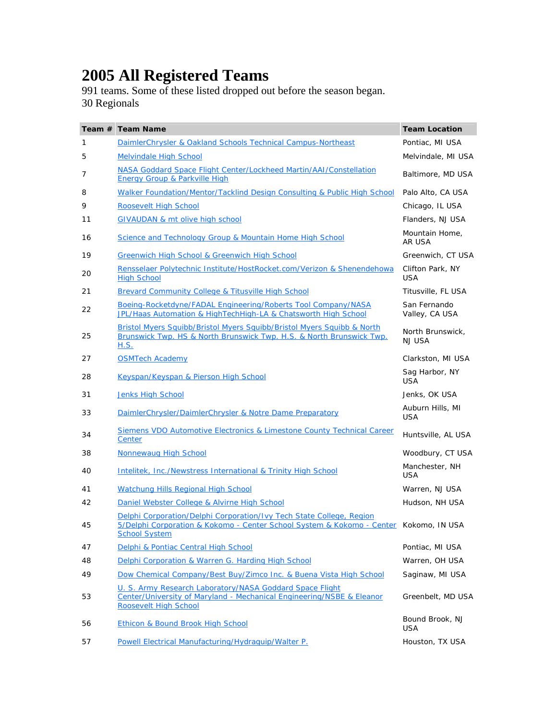## **2005 All Registered Teams**

991 teams. Some of these listed dropped out before the season began. 30 Regionals

|    | Team # Team Name                                                                                                                                                                      | <b>Team Location</b>           |
|----|---------------------------------------------------------------------------------------------------------------------------------------------------------------------------------------|--------------------------------|
| 1  | DaimlerChrysler & Oakland Schools Technical Campus-Northeast                                                                                                                          | Pontiac, MI USA                |
| 5  | <b>Melvindale High School</b>                                                                                                                                                         | Melvindale, MI USA             |
| 7  | NASA Goddard Space Flight Center/Lockheed Martin/AAI/Constellation<br>Energy Group & Parkville High                                                                                   | Baltimore, MD USA              |
| 8  | Walker Foundation/Mentor/Tacklind Design Consulting & Public High School                                                                                                              | Palo Alto, CA USA              |
| 9  | Roosevelt High School                                                                                                                                                                 | Chicago, IL USA                |
| 11 | <b>GIVAUDAN &amp; mt olive high school</b>                                                                                                                                            | Flanders, NJ USA               |
| 16 | Science and Technology Group & Mountain Home High School                                                                                                                              | Mountain Home,<br>AR USA       |
| 19 | Greenwich High School & Greenwich High School                                                                                                                                         | Greenwich, CT USA              |
| 20 | Rensselaer Polytechnic Institute/HostRocket.com/Verizon & Shenendehowa<br><b>High School</b>                                                                                          | Clifton Park, NY<br><b>USA</b> |
| 21 | Brevard Community College & Titusville High School                                                                                                                                    | Titusville, FL USA             |
| 22 | Boeing-Rocketdyne/FADAL Engineering/Roberts Tool Company/NASA<br>JPL/Haas Automation & HighTechHigh-LA & Chatsworth High School                                                       | San Fernando<br>Valley, CA USA |
| 25 | Bristol Myers Squibb/Bristol Myers Squibb/Bristol Myers Squibb & North<br>Brunswick Twp. HS & North Brunswick Twp. H.S. & North Brunswick Twp.<br><u>H.S.</u>                         | North Brunswick,<br>NJ USA     |
| 27 | <b>OSMTech Academy</b>                                                                                                                                                                | Clarkston, MI USA              |
| 28 | Keyspan/Keyspan & Pierson High School                                                                                                                                                 | Sag Harbor, NY<br>USA          |
| 31 | <b>Jenks High School</b>                                                                                                                                                              | Jenks, OK USA                  |
| 33 | DaimlerChrysler/DaimlerChrysler & Notre Dame Preparatory                                                                                                                              | Auburn Hills, MI<br><b>USA</b> |
| 34 | Siemens VDO Automotive Electronics & Limestone County Technical Career<br>Center                                                                                                      | Huntsville, AL USA             |
| 38 | Nonnewaug High School                                                                                                                                                                 | Woodbury, CT USA               |
| 40 | Intelitek, Inc./Newstress International & Trinity High School                                                                                                                         | Manchester, NH<br>USA          |
| 41 | Watchung Hills Regional High School                                                                                                                                                   | Warren, NJ USA                 |
| 42 | Daniel Webster College & Alvirne High School                                                                                                                                          | Hudson, NH USA                 |
| 45 | Delphi Corporation/Delphi Corporation/Ivy Tech State College, Region<br>5/Delphi Corporation & Kokomo - Center School System & Kokomo - Center Kokomo, IN USA<br><b>School System</b> |                                |
| 47 | Delphi & Pontiac Central High School                                                                                                                                                  | Pontiac, MI USA                |
| 48 | Delphi Corporation & Warren G. Harding High School                                                                                                                                    | Warren, OH USA                 |
| 49 | Dow Chemical Company/Best Buy/Zimco Inc. & Buena Vista High School                                                                                                                    | Saginaw, MI USA                |
| 53 | U. S. Army Research Laboratory/NASA Goddard Space Flight<br>Center/University of Maryland - Mechanical Engineering/NSBE & Eleanor<br><b>Roosevelt High School</b>                     | Greenbelt, MD USA              |
| 56 | Ethicon & Bound Brook High School                                                                                                                                                     | Bound Brook, NJ<br>USA         |
| 57 | Powell Electrical Manufacturing/Hydraguip/Walter P.                                                                                                                                   | Houston, TX USA                |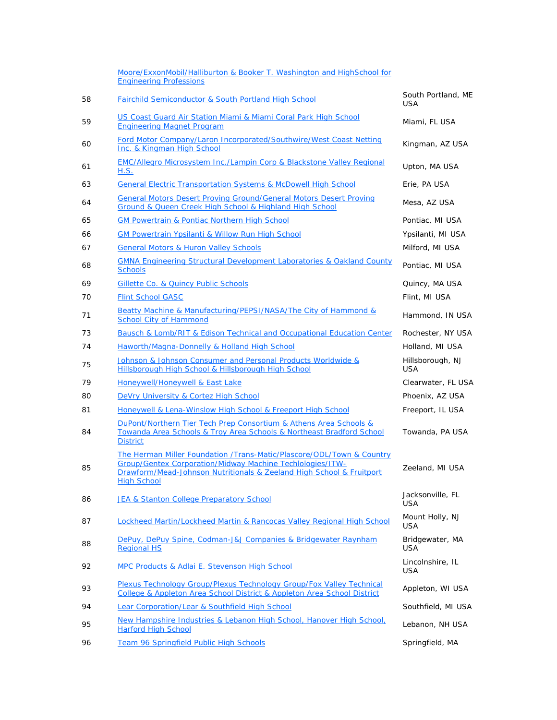|    | Moore/ExxonMobil/Halliburton & Booker T. Washington and HighSchool for<br><b>Engineering Professions</b>                                                                                                                                |                                |
|----|-----------------------------------------------------------------------------------------------------------------------------------------------------------------------------------------------------------------------------------------|--------------------------------|
| 58 | <b>Fairchild Semiconductor &amp; South Portland High School</b>                                                                                                                                                                         | South Portland, ME<br>USA      |
| 59 | US Coast Guard Air Station Miami & Miami Coral Park High School<br><b>Engineering Magnet Program</b>                                                                                                                                    | Miami, FL USA                  |
| 60 | Ford Motor Company/Laron Incorporated/Southwire/West Coast Netting<br>Inc. & Kingman High School                                                                                                                                        | Kingman, AZ USA                |
| 61 | EMC/Allegro Microsystem Inc./Lampin Corp & Blackstone Valley Regional<br>H.S.                                                                                                                                                           | Upton, MA USA                  |
| 63 | <b>General Electric Transportation Systems &amp; McDowell High School</b>                                                                                                                                                               | Erie, PA USA                   |
| 64 | <b>General Motors Desert Proving Ground/General Motors Desert Proving</b><br>Ground & Queen Creek High School & Highland High School                                                                                                    | Mesa, AZ USA                   |
| 65 | <b>GM Powertrain &amp; Pontiac Northern High School</b>                                                                                                                                                                                 | Pontiac, MI USA                |
| 66 | <b>GM Powertrain Ypsilanti &amp; Willow Run High School</b>                                                                                                                                                                             | Ypsilanti, MI USA              |
| 67 | <b>General Motors &amp; Huron Valley Schools</b>                                                                                                                                                                                        | Milford, MI USA                |
| 68 | <b>GMNA Engineering Structural Development Laboratories &amp; Oakland County</b><br><b>Schools</b>                                                                                                                                      | Pontiac, MI USA                |
| 69 | Gillette Co. & Quincy Public Schools                                                                                                                                                                                                    | Quincy, MA USA                 |
| 70 | <b>Flint School GASC</b>                                                                                                                                                                                                                | Flint, MI USA                  |
| 71 | Beatty Machine & Manufacturing/PEPSI/NASA/The City of Hammond &<br><b>School City of Hammond</b>                                                                                                                                        | Hammond, IN USA                |
| 73 | <b>Bausch &amp; Lomb/RIT &amp; Edison Technical and Occupational Education Center</b>                                                                                                                                                   | Rochester, NY USA              |
| 74 | Haworth/Magna-Donnelly & Holland High School                                                                                                                                                                                            | Holland, MI USA                |
| 75 | Johnson & Johnson Consumer and Personal Products Worldwide &<br>Hillsborough High School & Hillsborough High School                                                                                                                     | Hillsborough, NJ<br><b>USA</b> |
| 79 | Honeywell/Honeywell & East Lake                                                                                                                                                                                                         | Clearwater, FL USA             |
| 80 | DeVry University & Cortez High School                                                                                                                                                                                                   | Phoenix, AZ USA                |
| 81 | Honeywell & Lena-Winslow High School & Freeport High School                                                                                                                                                                             | Freeport, IL USA               |
| 84 | DuPont/Northern Tier Tech Prep Consortium & Athens Area Schools &<br>Towanda Area Schools & Troy Area Schools & Northeast Bradford School<br><b>District</b>                                                                            | Towanda, PA USA                |
| 85 | The Herman Miller Foundation /Trans-Matic/Plascore/ODL/Town & Country<br><b>Group/Gentex Corporation/Midway Machine Techlologies/ITW-</b><br>Drawform/Mead-Johnson Nutritionals & Zeeland High School & Fruitport<br><b>High School</b> | Zeeland, MI USA                |
| 86 | JEA & Stanton College Preparatory School                                                                                                                                                                                                | Jacksonville, FL<br>USA        |
| 87 | Lockheed Martin/Lockheed Martin & Rancocas Valley Regional High School                                                                                                                                                                  | Mount Holly, NJ<br><b>USA</b>  |
| 88 | DePuy, DePuy Spine, Codman-J&J Companies & Bridgewater Raynham<br><b>Regional HS</b>                                                                                                                                                    | Bridgewater, MA<br><b>USA</b>  |
| 92 | MPC Products & Adlai E. Stevenson High School                                                                                                                                                                                           | Lincolnshire, IL<br><b>USA</b> |
| 93 | Plexus Technology Group/Plexus Technology Group/Fox Valley Technical<br>College & Appleton Area School District & Appleton Area School District                                                                                         | Appleton, WI USA               |
| 94 | Lear Corporation/Lear & Southfield High School                                                                                                                                                                                          | Southfield, MI USA             |
| 95 | New Hampshire Industries & Lebanon High School, Hanover High School,<br><b>Harford High School</b>                                                                                                                                      | Lebanon, NH USA                |
| 96 | Team 96 Springfield Public High Schools                                                                                                                                                                                                 | Springfield, MA                |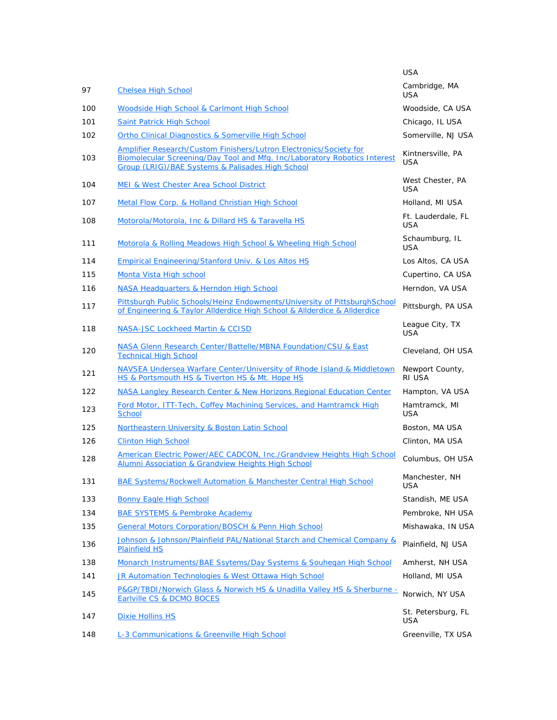|     |                                                                                                                                                                                                     | <b>USA</b>                       |
|-----|-----------------------------------------------------------------------------------------------------------------------------------------------------------------------------------------------------|----------------------------------|
| 97  | <b>Chelsea High School</b>                                                                                                                                                                          | Cambridge, MA<br><b>USA</b>      |
| 100 | Woodside High School & Carlmont High School                                                                                                                                                         | Woodside, CA USA                 |
| 101 | <b>Saint Patrick High School</b>                                                                                                                                                                    | Chicago, IL USA                  |
| 102 | <b>Ortho Clinical Diagnostics &amp; Somerville High School</b>                                                                                                                                      | Somerville, NJ USA               |
| 103 | Amplifier Research/Custom Finishers/Lutron Electronics/Society for<br>Biomolecular Screening/Day Tool and Mfg. Inc/Laboratory Robotics Interest<br>Group (LRIG)/BAE Systems & Palisades High School | Kintnersville, PA<br>USA         |
| 104 | <b>MEI &amp; West Chester Area School District</b>                                                                                                                                                  | West Chester, PA<br>USA          |
| 107 | Metal Flow Corp. & Holland Christian High School                                                                                                                                                    | Holland, MI USA                  |
| 108 | Motorola/Motorola, Inc & Dillard HS & Taravella HS                                                                                                                                                  | Ft. Lauderdale, FL<br><b>USA</b> |
| 111 | Motorola & Rolling Meadows High School & Wheeling High School                                                                                                                                       | Schaumburg, IL<br><b>USA</b>     |
| 114 | <b>Empirical Engineering/Stanford Univ. &amp; Los Altos HS</b>                                                                                                                                      | Los Altos, CA USA                |
| 115 | Monta Vista High school                                                                                                                                                                             | Cupertino, CA USA                |
| 116 | NASA Headquarters & Herndon High School                                                                                                                                                             | Herndon, VA USA                  |
| 117 | Pittsburgh Public Schools/Heinz Endowments/University of PittsburghSchool<br>of Engineering & Taylor Allderdice High School & Allderdice & Allderdice                                               | Pittsburgh, PA USA               |
| 118 | <b>NASA-JSC Lockheed Martin &amp; CCISD</b>                                                                                                                                                         | League City, TX<br><b>USA</b>    |
| 120 | NASA Glenn Research Center/Battelle/MBNA Foundation/CSU & East<br><b>Technical High School</b>                                                                                                      | Cleveland, OH USA                |
| 121 | NAVSEA Undersea Warfare Center/University of Rhode Island & Middletown<br>HS & Portsmouth HS & Tiverton HS & Mt. Hope HS                                                                            | Newport County,<br>RI USA        |
| 122 | NASA Langley Research Center & New Horizons Regional Education Center                                                                                                                               | Hampton, VA USA                  |
| 123 | Ford Motor, ITT-Tech, Coffey Machining Services, and Hamtramck High<br>School                                                                                                                       | Hamtramck, MI<br><b>USA</b>      |
| 125 | Northeastern University & Boston Latin School                                                                                                                                                       | Boston, MA USA                   |
| 126 | <b>Clinton High School</b>                                                                                                                                                                          | Clinton, MA USA                  |
| 128 | American Electric Power/AEC CADCON, Inc./Grandview Heights High School<br>Alumni Association & Grandview Heights High School                                                                        | Columbus, OH USA                 |
| 131 | <b>BAE Systems/Rockwell Automation &amp; Manchester Central High School</b>                                                                                                                         | Manchester, NH<br>USA            |
| 133 | <b>Bonny Eagle High School</b>                                                                                                                                                                      | Standish, ME USA                 |
| 134 | <b>BAE SYSTEMS &amp; Pembroke Academy</b>                                                                                                                                                           | Pembroke, NH USA                 |
| 135 | General Motors Corporation/BOSCH & Penn High School                                                                                                                                                 | Mishawaka, IN USA                |
| 136 | Johnson & Johnson/Plainfield PAL/National Starch and Chemical Company &<br><b>Plainfield HS</b>                                                                                                     | Plainfield, NJ USA               |
| 138 | Monarch Instruments/BAE Ssytems/Day Systems & Souhegan High School                                                                                                                                  | Amherst, NH USA                  |
| 141 | JR Automation Technologies & West Ottawa High School                                                                                                                                                | Holland, MI USA                  |
| 145 | P&GP/TBDI/Norwich Glass & Norwich HS & Unadilla Valley HS & Sherburne -<br>Earlville CS & DCMO BOCES                                                                                                | Norwich, NY USA                  |
| 147 | <b>Dixie Hollins HS</b>                                                                                                                                                                             | St. Petersburg, FL<br>USA        |
| 148 | L-3 Communications & Greenville High School                                                                                                                                                         | Greenville, TX USA               |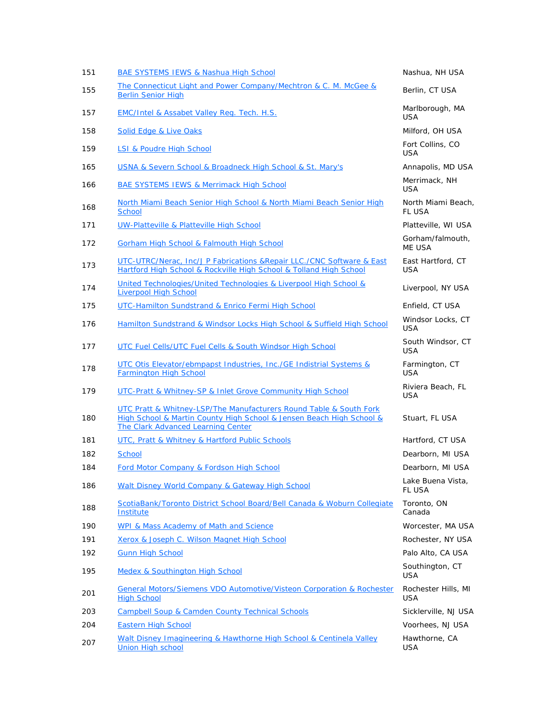| BAE SYSTEMS IEWS & Nashua High School                                                                                                                                                   | Nashua, NH USA                      |
|-----------------------------------------------------------------------------------------------------------------------------------------------------------------------------------------|-------------------------------------|
| The Connecticut Light and Power Company/Mechtron & C. M. McGee &<br><b>Berlin Senior High</b>                                                                                           | Berlin, CT USA                      |
| <b>EMC/Intel &amp; Assabet Valley Reg. Tech. H.S.</b>                                                                                                                                   | Marlborough, MA<br><b>USA</b>       |
| Solid Edge & Live Oaks                                                                                                                                                                  | Milford, OH USA                     |
| LSI & Poudre High School                                                                                                                                                                | Fort Collins, CO<br><b>USA</b>      |
| USNA & Severn School & Broadneck High School & St. Mary's                                                                                                                               | Annapolis, MD USA                   |
| <b>BAE SYSTEMS IEWS &amp; Merrimack High School</b>                                                                                                                                     | Merrimack, NH<br><b>USA</b>         |
| North Miami Beach Senior High School & North Miami Beach Senior High<br><b>School</b>                                                                                                   | North Miami Beach,<br><b>FL USA</b> |
| UW-Platteville & Platteville High School                                                                                                                                                | Platteville, WI USA                 |
| Gorham High School & Falmouth High School                                                                                                                                               | Gorham/falmouth,<br>ME USA          |
| UTC-UTRC/Nerac, Inc/J P Fabrications & Repair LLC./CNC Software & East<br>Hartford High School & Rockville High School & Tolland High School                                            | East Hartford, CT<br><b>USA</b>     |
| United Technologies/United Technologies & Liverpool High School &<br><b>Liverpool High School</b>                                                                                       | Liverpool, NY USA                   |
| UTC-Hamilton Sundstrand & Enrico Fermi High School                                                                                                                                      | Enfield, CT USA                     |
| Hamilton Sundstrand & Windsor Locks High School & Suffield High School                                                                                                                  | Windsor Locks, CT<br><b>USA</b>     |
| UTC Fuel Cells/UTC Fuel Cells & South Windsor High School                                                                                                                               | South Windsor, CT<br><b>USA</b>     |
| UTC Otis Elevator/ebmpapst Industries, Inc./GE Indistrial Systems &<br>Farmington High School                                                                                           | Farmington, CT<br><b>USA</b>        |
| UTC-Pratt & Whitney-SP & Inlet Grove Community High School                                                                                                                              | Riviera Beach, FL<br><b>USA</b>     |
| UTC Pratt & Whitney-LSP/The Manufacturers Round Table & South Fork<br>High School & Martin County High School & Jensen Beach High School &<br><b>The Clark Advanced Learning Center</b> | Stuart, FL USA                      |
| UTC, Pratt & Whitney & Hartford Public Schools                                                                                                                                          | Hartford, CT USA                    |
| School                                                                                                                                                                                  | Dearborn, MI USA                    |
| Ford Motor Company & Fordson High School                                                                                                                                                | Dearborn, MI USA                    |
| Walt Disney World Company & Gateway High School                                                                                                                                         | Lake Buena Vista.<br><b>FL USA</b>  |
| ScotiaBank/Toronto District School Board/Bell Canada & Woburn Collegiate<br>Institute                                                                                                   | Toronto, ON<br>Canada               |
| WPI & Mass Academy of Math and Science                                                                                                                                                  | Worcester, MA USA                   |
| Xerox & Joseph C. Wilson Magnet High School                                                                                                                                             | Rochester, NY USA                   |
| <b>Gunn High School</b>                                                                                                                                                                 | Palo Alto, CA USA                   |
| <b>Medex &amp; Southington High School</b>                                                                                                                                              | Southington, CT<br><b>USA</b>       |
| General Motors/Siemens VDO Automotive/Visteon Corporation & Rochester<br><b>High School</b>                                                                                             | Rochester Hills, MI<br><b>USA</b>   |
| <b>Campbell Soup &amp; Camden County Technical Schools</b>                                                                                                                              | Sicklerville, NJ USA                |
| <b>Eastern High School</b>                                                                                                                                                              | Voorhees, NJ USA                    |
| Walt Disney Imagineering & Hawthorne High School & Centinela Valley<br><b>Union High school</b>                                                                                         | Hawthorne, CA<br>USA                |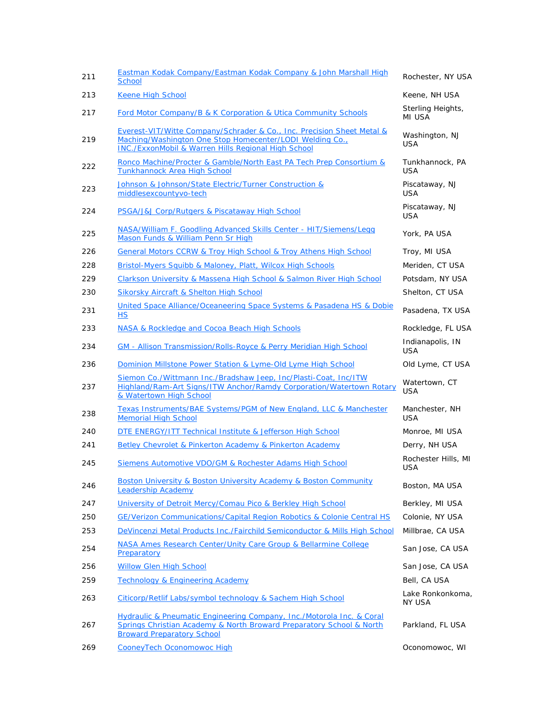| 211 | Eastman Kodak Company/Eastman Kodak Company & John Marshall High<br><b>School</b>                                                                                                                    | Rochester, NY USA                 |
|-----|------------------------------------------------------------------------------------------------------------------------------------------------------------------------------------------------------|-----------------------------------|
| 213 | <b>Keene High School</b>                                                                                                                                                                             | Keene, NH USA                     |
| 217 | <b>Ford Motor Company/B &amp; K Corporation &amp; Utica Community Schools</b>                                                                                                                        | Sterling Heights,<br>MI USA       |
| 219 | Everest-VIT/Witte Company/Schrader & Co., Inc. Precision Sheet Metal &<br>Maching/Washington One Stop Homecenter/LODI Welding Co.,<br><b>INC./ExxonMobil &amp; Warren Hills Regional High School</b> | Washington, NJ<br>USA             |
| 222 | Ronco Machine/Procter & Gamble/North East PA Tech Prep Consortium &<br><b>Tunkhannock Area High School</b>                                                                                           | Tunkhannock, PA<br><b>USA</b>     |
| 223 | Johnson & Johnson/State Electric/Turner Construction &<br>middlesexcountyvo-tech                                                                                                                     | Piscataway, NJ<br><b>USA</b>      |
| 224 | PSGA/J&J Corp/Rutgers & Piscataway High School                                                                                                                                                       | Piscataway, NJ<br>USA             |
| 225 | NASA/William F. Goodling Advanced Skills Center - HIT/Siemens/Legg<br>Mason Funds & William Penn Sr High                                                                                             | York, PA USA                      |
| 226 | General Motors CCRW & Troy High School & Troy Athens High School                                                                                                                                     | Troy, MI USA                      |
| 228 | Bristol-Myers Squibb & Maloney, Platt, Wilcox High Schools                                                                                                                                           | Meriden, CT USA                   |
| 229 | Clarkson University & Massena High School & Salmon River High School                                                                                                                                 | Potsdam, NY USA                   |
| 230 | <b>Sikorsky Aircraft &amp; Shelton High School</b>                                                                                                                                                   | Shelton, CT USA                   |
| 231 | United Space Alliance/Oceaneering Space Systems & Pasadena HS & Dobie<br><b>HS</b>                                                                                                                   | Pasadena, TX USA                  |
| 233 | NASA & Rockledge and Cocoa Beach High Schools                                                                                                                                                        | Rockledge, FL USA                 |
| 234 | GM - Allison Transmission/Rolls-Royce & Perry Meridian High School                                                                                                                                   | Indianapolis, IN<br><b>USA</b>    |
| 236 | Dominion Millstone Power Station & Lyme-Old Lyme High School                                                                                                                                         | Old Lyme, CT USA                  |
| 237 | Siemon Co./Wittmann Inc./Bradshaw Jeep, Inc/Plasti-Coat, Inc/ITW<br>Highland/Ram-Art Signs/ITW Anchor/Ramdy Corporation/Watertown Rotary<br>& Watertown High School                                  | Watertown, CT<br><b>USA</b>       |
| 238 | Texas Instruments/BAE Systems/PGM of New England, LLC & Manchester<br><b>Memorial High School</b>                                                                                                    | Manchester, NH<br><b>USA</b>      |
| 240 | DTE ENERGY/ITT Technical Institute & Jefferson High School                                                                                                                                           | Monroe, MI USA                    |
| 241 | Betley Chevrolet & Pinkerton Academy & Pinkerton Academy                                                                                                                                             | Derry, NH USA                     |
| 245 | Siemens Automotive VDO/GM & Rochester Adams High School                                                                                                                                              | Rochester Hills, MI<br><b>USA</b> |
| 246 | Boston University & Boston University Academy & Boston Community<br><b>Leadership Academy</b>                                                                                                        | Boston, MA USA                    |
| 247 | University of Detroit Mercy/Comau Pico & Berkley High School                                                                                                                                         | Berkley, MI USA                   |
| 250 | GE/Verizon Communications/Capital Region Robotics & Colonie Central HS                                                                                                                               | Colonie, NY USA                   |
| 253 | DeVincenzi Metal Products Inc./Fairchild Semiconductor & Mills High School                                                                                                                           | Millbrae, CA USA                  |
| 254 | NASA Ames Research Center/Unity Care Group & Bellarmine College<br>Preparatory                                                                                                                       | San Jose, CA USA                  |
| 256 | <b>Willow Glen High School</b>                                                                                                                                                                       | San Jose, CA USA                  |
| 259 | <b>Technology &amp; Engineering Academy</b>                                                                                                                                                          | Bell, CA USA                      |
| 263 | Citicorp/Retlif Labs/symbol technology & Sachem High School                                                                                                                                          | Lake Ronkonkoma,<br>NY USA        |
| 267 | Hydraulic & Pneumatic Engineering Company, Inc./Motorola Inc. & Coral<br>Springs Christian Academy & North Broward Preparatory School & North<br><b>Broward Preparatory School</b>                   | Parkland, FL USA                  |
| 269 | <b>CooneyTech Oconomowoc High</b>                                                                                                                                                                    | Oconomowoc, WI                    |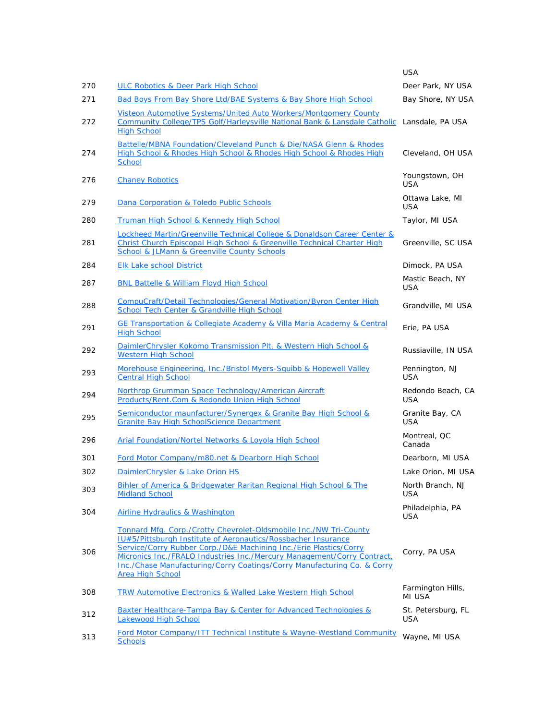|     |                                                                                                                                                                                                                                                                                                                                                                                   | <b>USA</b>                       |
|-----|-----------------------------------------------------------------------------------------------------------------------------------------------------------------------------------------------------------------------------------------------------------------------------------------------------------------------------------------------------------------------------------|----------------------------------|
| 270 | ULC Robotics & Deer Park High School                                                                                                                                                                                                                                                                                                                                              | Deer Park, NY USA                |
| 271 | Bad Boys From Bay Shore Ltd/BAE Systems & Bay Shore High School                                                                                                                                                                                                                                                                                                                   | Bay Shore, NY USA                |
| 272 | Visteon Automotive Systems/United Auto Workers/Montgomery County<br>Community College/TPS Golf/Harleysville National Bank & Lansdale Catholic<br><b>High School</b>                                                                                                                                                                                                               | Lansdale, PA USA                 |
| 274 | Battelle/MBNA Foundation/Cleveland Punch & Die/NASA Glenn & Rhodes<br>High School & Rhodes High School & Rhodes High School & Rhodes High<br><b>School</b>                                                                                                                                                                                                                        | Cleveland, OH USA                |
| 276 | <b>Chaney Robotics</b>                                                                                                                                                                                                                                                                                                                                                            | Youngstown, OH<br><b>USA</b>     |
| 279 | Dana Corporation & Toledo Public Schools                                                                                                                                                                                                                                                                                                                                          | Ottawa Lake, MI<br><b>USA</b>    |
| 280 | Truman High School & Kennedy High School                                                                                                                                                                                                                                                                                                                                          | Taylor, MI USA                   |
| 281 | Lockheed Martin/Greenville Technical College & Donaldson Career Center &<br>Christ Church Episcopal High School & Greenville Technical Charter High<br><b>School &amp; JLMann &amp; Greenville County Schools</b>                                                                                                                                                                 | Greenville, SC USA               |
| 284 | <b>Elk Lake school District</b>                                                                                                                                                                                                                                                                                                                                                   | Dimock, PA USA                   |
| 287 | <b>BNL Battelle &amp; William Floyd High School</b>                                                                                                                                                                                                                                                                                                                               | Mastic Beach, NY<br><b>USA</b>   |
| 288 | CompuCraft/Detail Technologies/General Motivation/Byron Center High<br>School Tech Center & Grandville High School                                                                                                                                                                                                                                                                | Grandville, MI USA               |
| 291 | GE Transportation & Collegiate Academy & Villa Maria Academy & Central<br><b>High School</b>                                                                                                                                                                                                                                                                                      | Erie, PA USA                     |
| 292 | DaimlerChrysler Kokomo Transmission Plt. & Western High School &<br><b>Western High School</b>                                                                                                                                                                                                                                                                                    | Russiaville, IN USA              |
| 293 | Morehouse Engineering, Inc./Bristol Myers-Squibb & Hopewell Valley<br><b>Central High School</b>                                                                                                                                                                                                                                                                                  | Pennington, NJ<br><b>USA</b>     |
| 294 | Northrop Grumman Space Technology/American Aircraft<br>Products/Rent.Com & Redondo Union High School                                                                                                                                                                                                                                                                              | Redondo Beach, CA<br>USA         |
| 295 | Semiconductor maunfacturer/Synergex & Granite Bay High School &<br><b>Granite Bay High SchoolScience Department</b>                                                                                                                                                                                                                                                               | Granite Bay, CA<br><b>USA</b>    |
| 296 | Arial Foundation/Nortel Networks & Loyola High School                                                                                                                                                                                                                                                                                                                             | Montreal, QC<br>Canada           |
| 301 | Ford Motor Company/m80.net & Dearborn High School                                                                                                                                                                                                                                                                                                                                 | Dearborn, MI USA                 |
| 302 | DaimlerChrysler & Lake Orion HS                                                                                                                                                                                                                                                                                                                                                   | Lake Orion, MI USA               |
| 303 | Bihler of America & Bridgewater Raritan Regional High School & The<br><b>Midland School</b>                                                                                                                                                                                                                                                                                       | North Branch, NJ<br><b>USA</b>   |
| 304 | Airline Hydraulics & Washington                                                                                                                                                                                                                                                                                                                                                   | Philadelphia, PA<br><b>USA</b>   |
| 306 | Tonnard Mfg. Corp./Crotty Chevrolet-Oldsmobile Inc./NW Tri-County<br>IU#5/Pittsburgh Institute of Aeronautics/Rossbacher Insurance<br>Service/Corry Rubber Corp./D&E Machining Inc./Erie Plastics/Corry<br>Micronics Inc./FRALO Industries Inc./Mercury Management/Corry Contract,<br>Inc./Chase Manufacturing/Corry Coatings/Corry Manufacturing Co. & Corry<br>Area High School | Corry, PA USA                    |
| 308 | <b>TRW Automotive Electronics &amp; Walled Lake Western High School</b>                                                                                                                                                                                                                                                                                                           | Farmington Hills,<br>MI USA      |
| 312 | Baxter Healthcare-Tampa Bay & Center for Advanced Technologies &<br><b>Lakewood High School</b>                                                                                                                                                                                                                                                                                   | St. Petersburg, FL<br><b>USA</b> |
| 313 | Ford Motor Company/ITT Technical Institute & Wayne-Westland Community<br><b>Schools</b>                                                                                                                                                                                                                                                                                           | Wayne, MI USA                    |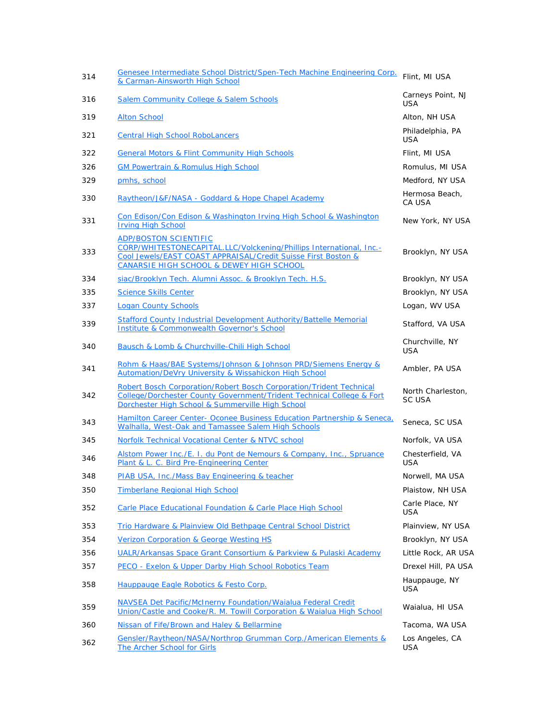| 314 | Genesee Intermediate School District/Spen-Tech Machine Engineering Corp.<br>& Carman-Ainsworth High School                                                                                                       | Flint, MI USA                      |
|-----|------------------------------------------------------------------------------------------------------------------------------------------------------------------------------------------------------------------|------------------------------------|
| 316 | <b>Salem Community College &amp; Salem Schools</b>                                                                                                                                                               | Carneys Point, NJ<br><b>USA</b>    |
| 319 | <b>Alton School</b>                                                                                                                                                                                              | Alton, NH USA                      |
| 321 | <b>Central High School RoboLancers</b>                                                                                                                                                                           | Philadelphia, PA<br>USA            |
| 322 | <b>General Motors &amp; Flint Community High Schools</b>                                                                                                                                                         | Flint, MI USA                      |
| 326 | <b>GM Powertrain &amp; Romulus High School</b>                                                                                                                                                                   | Romulus, MI USA                    |
| 329 | pmhs, school                                                                                                                                                                                                     | Medford, NY USA                    |
| 330 | Raytheon/J&F/NASA - Goddard & Hope Chapel Academy                                                                                                                                                                | Hermosa Beach,<br>CA USA           |
| 331 | Con Edison/Con Edison & Washington Irving High School & Washington<br><b>Irving High School</b>                                                                                                                  | New York, NY USA                   |
| 333 | <b>ADP/BOSTON SCIENTIFIC</b><br>CORP/WHITESTONECAPITAL.LLC/Volckening/Phillips International, Inc.-<br>Cool Jewels/EAST COAST APPRAISAL/Credit Suisse First Boston &<br>CANARSIE HIGH SCHOOL & DEWEY HIGH SCHOOL | Brooklyn, NY USA                   |
| 334 | siac/Brooklyn Tech. Alumni Assoc. & Brooklyn Tech. H.S.                                                                                                                                                          | Brooklyn, NY USA                   |
| 335 | <b>Science Skills Center</b>                                                                                                                                                                                     | Brooklyn, NY USA                   |
| 337 | <b>Logan County Schools</b>                                                                                                                                                                                      | Logan, WV USA                      |
| 339 | Stafford County Industrial Development Authority/Battelle Memorial<br><b>Institute &amp; Commonwealth Governor's School</b>                                                                                      | Stafford, VA USA                   |
| 340 | Bausch & Lomb & Churchville-Chili High School                                                                                                                                                                    | Churchville, NY<br><b>USA</b>      |
| 341 | Rohm & Haas/BAE Systems/Johnson & Johnson PRD/Siemens Energy &<br>Automation/DeVry University & Wissahickon High School                                                                                          | Ambler, PA USA                     |
| 342 | Robert Bosch Corporation/Robert Bosch Corporation/Trident Technical<br>College/Dorchester County Government/Trident Technical College & Fort<br>Dorchester High School & Summerville High School                 | North Charleston,<br><b>SC USA</b> |
| 343 | Hamilton Career Center-Oconee Business Education Partnership & Seneca,<br>Walhalla, West-Oak and Tamassee Salem High Schools                                                                                     | Seneca, SC USA                     |
| 345 | Norfolk Technical Vocational Center & NTVC school                                                                                                                                                                | Norfolk, VA USA                    |
| 346 | Alstom Power Inc./E. I. du Pont de Nemours & Company, Inc., Spruance<br>Plant & L. C. Bird Pre-Engineering Center                                                                                                | Chesterfield, VA<br>USA            |
| 348 | PIAB USA, Inc./Mass Bay Engineering & teacher                                                                                                                                                                    | Norwell, MA USA                    |
| 350 | <b>Timberlane Regional High School</b>                                                                                                                                                                           | Plaistow, NH USA                   |
| 352 | Carle Place Educational Foundation & Carle Place High School                                                                                                                                                     | Carle Place, NY<br><b>USA</b>      |
| 353 | Trio Hardware & Plainview Old Bethpage Central School District                                                                                                                                                   | Plainview, NY USA                  |
| 354 | <b>Verizon Corporation &amp; George Westing HS</b>                                                                                                                                                               | Brooklyn, NY USA                   |
| 356 | UALR/Arkansas Space Grant Consortium & Parkview & Pulaski Academy                                                                                                                                                | Little Rock, AR USA                |
| 357 | PECO - Exelon & Upper Darby High School Robotics Team                                                                                                                                                            | Drexel Hill, PA USA                |
| 358 | Hauppauge Eagle Robotics & Festo Corp.                                                                                                                                                                           | Hauppauge, NY<br><b>USA</b>        |
| 359 | NAVSEA Det Pacific/McInerny Foundation/Waialua Federal Credit<br>Union/Castle and Cooke/R. M. Towill Corporation & Waialua High School                                                                           | Waialua, HI USA                    |
| 360 | Nissan of Fife/Brown and Haley & Bellarmine                                                                                                                                                                      | Tacoma, WA USA                     |
| 362 | Gensler/Raytheon/NASA/Northrop Grumman Corp./American Elements &<br>The Archer School for Girls                                                                                                                  | Los Angeles, CA<br>USA             |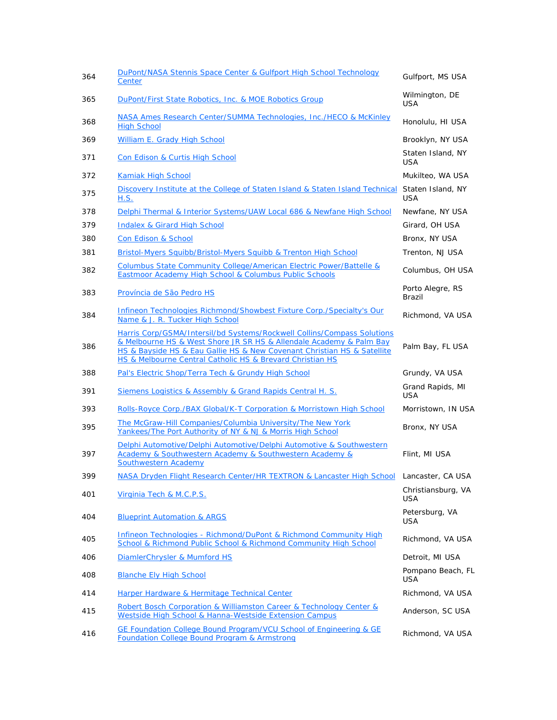| 364 | DuPont/NASA Stennis Space Center & Gulfport High School Technology<br>Center                                                                                                                                                                                                           | Gulfport, MS USA                |
|-----|----------------------------------------------------------------------------------------------------------------------------------------------------------------------------------------------------------------------------------------------------------------------------------------|---------------------------------|
| 365 | DuPont/First State Robotics, Inc. & MOE Robotics Group                                                                                                                                                                                                                                 | Wilmington, DE<br><b>USA</b>    |
| 368 | NASA Ames Research Center/SUMMA Technologies, Inc./HECO & McKinley<br><b>High School</b>                                                                                                                                                                                               | Honolulu, HI USA                |
| 369 | William E. Grady High School                                                                                                                                                                                                                                                           | Brooklyn, NY USA                |
| 371 | Con Edison & Curtis High School                                                                                                                                                                                                                                                        | Staten Island, NY<br><b>USA</b> |
| 372 | Kamiak High School                                                                                                                                                                                                                                                                     | Mukilteo, WA USA                |
| 375 | Discovery Institute at the College of Staten Island & Staten Island Technical<br><u>H.S.</u>                                                                                                                                                                                           | Staten Island, NY<br><b>USA</b> |
| 378 | Delphi Thermal & Interior Systems/UAW Local 686 & Newfane High School                                                                                                                                                                                                                  | Newfane, NY USA                 |
| 379 | <b>Indalex &amp; Girard High School</b>                                                                                                                                                                                                                                                | Girard, OH USA                  |
| 380 | <b>Con Edison &amp; School</b>                                                                                                                                                                                                                                                         | Bronx, NY USA                   |
| 381 | <b>Bristol-Myers Squibb/Bristol-Myers Squibb &amp; Trenton High School</b>                                                                                                                                                                                                             | Trenton, NJ USA                 |
| 382 | Columbus State Community College/American Electric Power/Battelle &<br>Eastmoor Academy High School & Columbus Public Schools                                                                                                                                                          | Columbus, OH USA                |
| 383 | Província de São Pedro HS                                                                                                                                                                                                                                                              | Porto Alegre, RS<br>Brazil      |
| 384 | Infineon Technologies Richmond/Showbest Fixture Corp./Specialty's Our<br>Name & J. R. Tucker High School                                                                                                                                                                               | Richmond, VA USA                |
| 386 | Harris Corp/GSMA/Intersil/bd Systems/Rockwell Collins/Compass Solutions<br>& Melbourne HS & West Shore JR SR HS & Allendale Academy & Palm Bay<br>HS & Bayside HS & Eau Gallie HS & New Covenant Christian HS & Satellite<br>HS & Melbourne Central Catholic HS & Brevard Christian HS | Palm Bay, FL USA                |
| 388 | Pal's Electric Shop/Terra Tech & Grundy High School                                                                                                                                                                                                                                    | Grundy, VA USA                  |
| 391 | Siemens Logistics & Assembly & Grand Rapids Central H. S.                                                                                                                                                                                                                              | Grand Rapids, MI<br><b>USA</b>  |
| 393 | Rolls-Royce Corp./BAX Global/K-T Corporation & Morristown High School                                                                                                                                                                                                                  | Morristown, IN USA              |
| 395 | The McGraw-Hill Companies/Columbia University/The New York<br>Yankees/The Port Authority of NY & NJ & Morris High School                                                                                                                                                               | Bronx, NY USA                   |
| 397 | Delphi Automotive/Delphi Automotive/Delphi Automotive & Southwestern<br>Academy & Southwestern Academy & Southwestern Academy &<br>Southwestern Academy                                                                                                                                | Flint, MI USA                   |
| 399 | NASA Dryden Flight Research Center/HR TEXTRON & Lancaster High School Lancaster, CA USA                                                                                                                                                                                                |                                 |
| 401 | Virginia Tech & M.C.P.S.                                                                                                                                                                                                                                                               | Christiansburg, VA<br>USA       |
| 404 | <b>Blueprint Automation &amp; ARGS</b>                                                                                                                                                                                                                                                 | Petersburg, VA<br><b>USA</b>    |
| 405 | Infineon Technologies - Richmond/DuPont & Richmond Community High<br>School & Richmond Public School & Richmond Community High School                                                                                                                                                  | Richmond, VA USA                |
| 406 | DiamlerChrysler & Mumford HS                                                                                                                                                                                                                                                           | Detroit, MI USA                 |
| 408 | <b>Blanche Ely High School</b>                                                                                                                                                                                                                                                         | Pompano Beach, FL<br><b>USA</b> |
| 414 | Harper Hardware & Hermitage Technical Center                                                                                                                                                                                                                                           | Richmond, VA USA                |
| 415 | Robert Bosch Corporation & Williamston Career & Technology Center &<br>Westside High School & Hanna-Westside Extension Campus                                                                                                                                                          | Anderson, SC USA                |
| 416 | GE Foundation College Bound Program/VCU School of Engineering & GE<br><b>Foundation College Bound Program &amp; Armstrong</b>                                                                                                                                                          | Richmond, VA USA                |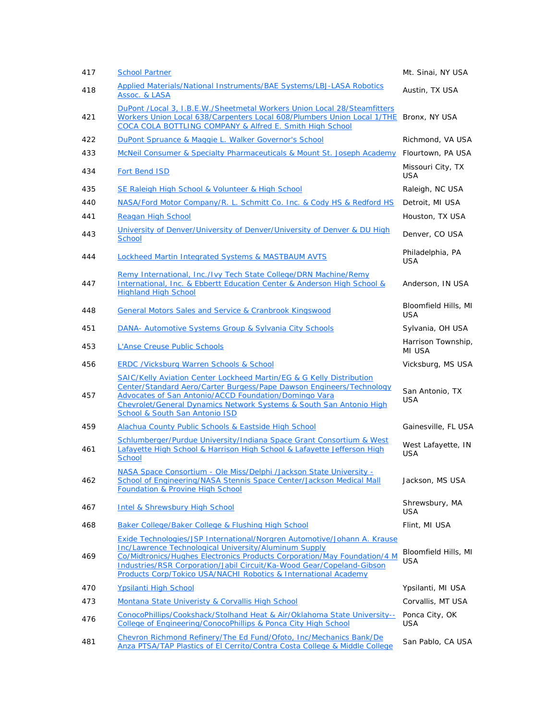| 417 | <b>School Partner</b>                                                                                                                                                                                                                                                                                                                                     | Mt. Sinai, NY USA                  |
|-----|-----------------------------------------------------------------------------------------------------------------------------------------------------------------------------------------------------------------------------------------------------------------------------------------------------------------------------------------------------------|------------------------------------|
| 418 | Applied Materials/National Instruments/BAE Systems/LBJ-LASA Robotics<br>Assoc. & LASA                                                                                                                                                                                                                                                                     | Austin, TX USA                     |
| 421 | DuPont /Local 3, I.B.E.W./Sheetmetal Workers Union Local 28/Steamfitters<br>Workers Union Local 638/Carpenters Local 608/Plumbers Union Local 1/THE<br>COCA COLA BOTTLING COMPANY & Alfred E. Smith High School                                                                                                                                           | Bronx, NY USA                      |
| 422 | DuPont Spruance & Maggie L. Walker Governor's School                                                                                                                                                                                                                                                                                                      | Richmond, VA USA                   |
| 433 | McNeil Consumer & Specialty Pharmaceuticals & Mount St. Joseph Academy                                                                                                                                                                                                                                                                                    | Flourtown, PA USA                  |
| 434 | <b>Fort Bend ISD</b>                                                                                                                                                                                                                                                                                                                                      | Missouri City, TX<br>USA           |
| 435 | SE Raleigh High School & Volunteer & High School                                                                                                                                                                                                                                                                                                          | Raleigh, NC USA                    |
| 440 | NASA/Ford Motor Company/R. L. Schmitt Co. Inc. & Cody HS & Redford HS                                                                                                                                                                                                                                                                                     | Detroit, MI USA                    |
| 441 | Reagan High School                                                                                                                                                                                                                                                                                                                                        | Houston, TX USA                    |
| 443 | University of Denver/University of Denver/University of Denver & DU High<br><b>School</b>                                                                                                                                                                                                                                                                 | Denver, CO USA                     |
| 444 | Lockheed Martin Integrated Systems & MASTBAUM AVTS                                                                                                                                                                                                                                                                                                        | Philadelphia, PA<br><b>USA</b>     |
| 447 | Remy International, Inc./Ivy Tech State College/DRN Machine/Remy<br>International, Inc. & Ebbertt Education Center & Anderson High School &<br><b>Highland High School</b>                                                                                                                                                                                | Anderson, IN USA                   |
| 448 | General Motors Sales and Service & Cranbrook Kingswood                                                                                                                                                                                                                                                                                                    | Bloomfield Hills, MI<br>USA        |
| 451 | DANA- Automotive Systems Group & Sylvania City Schools                                                                                                                                                                                                                                                                                                    | Sylvania, OH USA                   |
| 453 | <b>L'Anse Creuse Public Schools</b>                                                                                                                                                                                                                                                                                                                       | Harrison Township,<br>MI USA       |
| 456 | ERDC /Vicksburg Warren Schools & School                                                                                                                                                                                                                                                                                                                   | Vicksburg, MS USA                  |
| 457 | SAIC/Kelly Aviation Center Lockheed Martin/EG & G Kelly Distribution<br>Center/Standard Aero/Carter Burgess/Pape Dawson Engineers/Technology<br>Advocates of San Antonio/ACCD Foundation/Domingo Vara<br>Chevrolet/General Dynamics Network Systems & South San Antonio High<br><b>School &amp; South San Antonio ISD</b>                                 | San Antonio, TX<br><b>USA</b>      |
| 459 | Alachua County Public Schools & Eastside High School                                                                                                                                                                                                                                                                                                      | Gainesville, FL USA                |
| 461 | Schlumberger/Purdue University/Indiana Space Grant Consortium & West<br>Lafayette High School & Harrison High School & Lafayette Jefferson High<br>School                                                                                                                                                                                                 | West Lafayette, IN<br><b>USA</b>   |
| 462 | NASA Space Consortium - Ole Miss/Delphi /Jackson State University -<br>School of Engineering/NASA Stennis Space Center/Jackson Medical Mall<br><b>Foundation &amp; Provine High School</b>                                                                                                                                                                | Jackson, MS USA                    |
| 467 | <b>Intel &amp; Shrewsbury High School</b>                                                                                                                                                                                                                                                                                                                 | Shrewsbury, MA<br><b>USA</b>       |
| 468 | Baker College/Baker College & Flushing High School                                                                                                                                                                                                                                                                                                        | Flint, MI USA                      |
| 469 | Exide Technologies/JSP International/Norgren Automotive/Johann A. Krause<br>Inc/Lawrence Technological University/Aluminum Supply<br>Co/Midtronics/Hughes Electronics Products Corporation/May Foundation/4 M<br>Industries/RSR Corporation/Jabil Circuit/Ka-Wood Gear/Copeland-Gibson<br>Products Corp/Tokico USA/NACHI Robotics & International Academy | Bloomfield Hills, MI<br><b>USA</b> |
| 470 | <b>Ypsilanti High School</b>                                                                                                                                                                                                                                                                                                                              | Ypsilanti, MI USA                  |
| 473 | Montana State Univeristy & Corvallis High School                                                                                                                                                                                                                                                                                                          | Corvallis, MT USA                  |
| 476 | ConocoPhillips/Cookshack/Stolhand Heat & Air/Oklahoma State University--<br>College of Engineering/ConocoPhillips & Ponca City High School                                                                                                                                                                                                                | Ponca City, OK<br>USA              |
| 481 | Chevron Richmond Refinery/The Ed Fund/Ofoto, Inc/Mechanics Bank/De<br>Anza PTSA/TAP Plastics of El Cerrito/Contra Costa College & Middle College                                                                                                                                                                                                          | San Pablo, CA USA                  |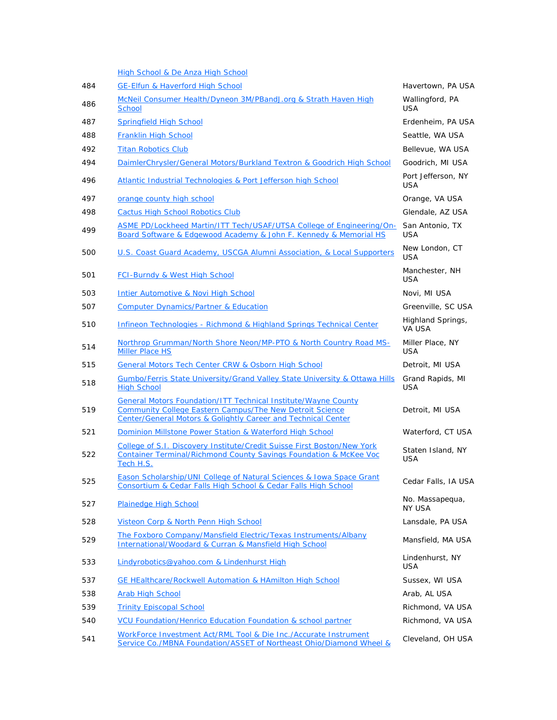|     | High School & De Anza High School                                                                                                                                                                                    |                                  |
|-----|----------------------------------------------------------------------------------------------------------------------------------------------------------------------------------------------------------------------|----------------------------------|
| 484 | <b>GE-Elfun &amp; Haverford High School</b>                                                                                                                                                                          | Havertown, PA USA                |
| 486 | McNeil Consumer Health/Dyneon 3M/PBandJ.org & Strath Haven High<br><b>School</b>                                                                                                                                     | Wallingford, PA<br><b>USA</b>    |
| 487 | <b>Springfield High School</b>                                                                                                                                                                                       | Erdenheim, PA USA                |
| 488 | Franklin High School                                                                                                                                                                                                 | Seattle, WA USA                  |
| 492 | <b>Titan Robotics Club</b>                                                                                                                                                                                           | Bellevue, WA USA                 |
| 494 | DaimlerChrysler/General Motors/Burkland Textron & Goodrich High School                                                                                                                                               | Goodrich, MI USA                 |
| 496 | Atlantic Industrial Technologies & Port Jefferson high School                                                                                                                                                        | Port Jefferson, NY<br><b>USA</b> |
| 497 | orange county high school                                                                                                                                                                                            | Orange, VA USA                   |
| 498 | Cactus High School Robotics Club                                                                                                                                                                                     | Glendale, AZ USA                 |
| 499 | ASME PD/Lockheed Martin/ITT Tech/USAF/UTSA College of Engineering/On-<br>Board Software & Edgewood Academy & John F. Kennedy & Memorial HS                                                                           | San Antonio, TX<br>USA           |
| 500 | U.S. Coast Guard Academy, USCGA Alumni Association, & Local Supporters                                                                                                                                               | New London, CT<br><b>USA</b>     |
| 501 | <b>FCI-Burndy &amp; West High School</b>                                                                                                                                                                             | Manchester, NH<br><b>USA</b>     |
| 503 | Intier Automotive & Novi High School                                                                                                                                                                                 | Novi, MI USA                     |
| 507 | <b>Computer Dynamics/Partner &amp; Education</b>                                                                                                                                                                     | Greenville, SC USA               |
| 510 | Infineon Technologies - Richmond & Highland Springs Technical Center                                                                                                                                                 | Highland Springs,<br>VA USA      |
| 514 | Northrop Grumman/North Shore Neon/MP-PTO & North Country Road MS-<br>Miller Place HS                                                                                                                                 | Miller Place, NY<br><b>USA</b>   |
| 515 | <b>General Motors Tech Center CRW &amp; Osborn High School</b>                                                                                                                                                       | Detroit, MI USA                  |
| 518 | Gumbo/Ferris State University/Grand Valley State University & Ottawa Hills<br><b>High School</b>                                                                                                                     | Grand Rapids, MI<br><b>USA</b>   |
| 519 | <b>General Motors Foundation/ITT Technical Institute/Wayne County</b><br><b>Community College Eastern Campus/The New Detroit Science</b><br><b>Center/General Motors &amp; Golightly Career and Technical Center</b> | Detroit, MI USA                  |
| 521 | Dominion Millstone Power Station & Waterford High School                                                                                                                                                             | Waterford, CT USA                |
| 522 | College of S.I. Discovery Institute/Credit Suisse First Boston/New York<br>Container Terminal/Richmond County Savings Foundation & McKee Voc<br>Tech H.S.                                                            | Staten Island, NY<br><b>USA</b>  |
| 525 | <b>Eason Scholarship/UNI College of Natural Sciences &amp; Iowa Space Grant</b><br>Consortium & Cedar Falls High School & Cedar Falls High School                                                                    | Cedar Falls, IA USA              |
| 527 | <b>Plainedge High School</b>                                                                                                                                                                                         | No. Massapequa,<br><b>NY USA</b> |
| 528 | Visteon Corp & North Penn High School                                                                                                                                                                                | Lansdale, PA USA                 |
| 529 | The Foxboro Company/Mansfield Electric/Texas Instruments/Albany<br>International/Woodard & Curran & Mansfield High School                                                                                            | Mansfield, MA USA                |
| 533 | Lindyrobotics@yahoo.com & Lindenhurst High                                                                                                                                                                           | Lindenhurst, NY<br><b>USA</b>    |
| 537 | <b>GE HEalthcare/Rockwell Automation &amp; HAmilton High School</b>                                                                                                                                                  | Sussex, WI USA                   |
| 538 | <b>Arab High School</b>                                                                                                                                                                                              | Arab, AL USA                     |
| 539 | <b>Trinity Episcopal School</b>                                                                                                                                                                                      | Richmond, VA USA                 |
| 540 | VCU Foundation/Henrico Education Foundation & school partner                                                                                                                                                         | Richmond, VA USA                 |
| 541 | WorkForce Investment Act/RML Tool & Die Inc./Accurate Instrument<br>Service Co./MBNA Foundation/ASSET of Northeast Ohio/Diamond Wheel &                                                                              | Cleveland, OH USA                |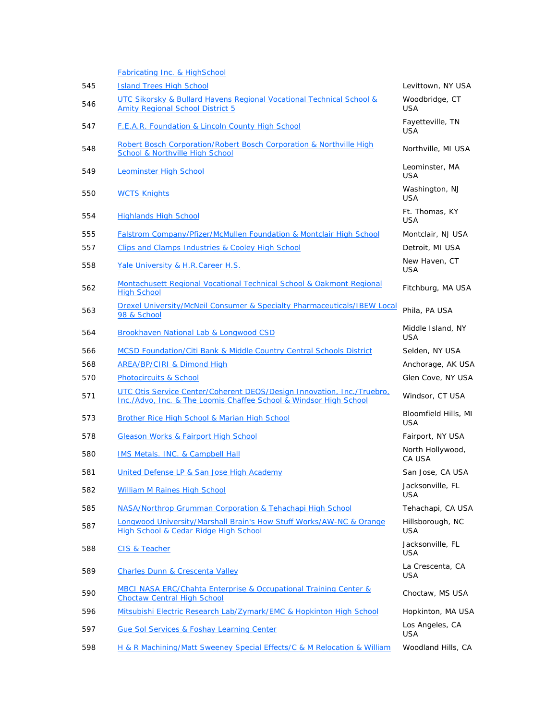|     | Fabricating Inc. & HighSchool                                                                                                               |                                    |
|-----|---------------------------------------------------------------------------------------------------------------------------------------------|------------------------------------|
| 545 | <b>Island Trees High School</b>                                                                                                             | Levittown, NY USA                  |
| 546 | UTC Sikorsky & Bullard Havens Regional Vocational Technical School &<br><b>Amity Regional School District 5</b>                             | Woodbridge, CT<br><b>USA</b>       |
| 547 | <b>F.E.A.R. Foundation &amp; Lincoln County High School</b>                                                                                 | Fayetteville, TN<br><b>USA</b>     |
| 548 | Robert Bosch Corporation/Robert Bosch Corporation & Northville High<br>School & Northville High School                                      | Northville, MI USA                 |
| 549 | <b>Leominster High School</b>                                                                                                               | Leominster, MA<br><b>USA</b>       |
| 550 | <b>WCTS Knights</b>                                                                                                                         | Washington, NJ<br><b>USA</b>       |
| 554 | <b>Highlands High School</b>                                                                                                                | Ft. Thomas, KY<br><b>USA</b>       |
| 555 | Falstrom Company/Pfizer/McMullen Foundation & Montclair High School                                                                         | Montclair, NJ USA                  |
| 557 | Clips and Clamps Industries & Cooley High School                                                                                            | Detroit, MI USA                    |
| 558 | Yale University & H.R.Career H.S.                                                                                                           | New Haven, CT<br><b>USA</b>        |
| 562 | Montachusett Regional Vocational Technical School & Oakmont Regional<br><b>High School</b>                                                  | Fitchburg, MA USA                  |
| 563 | Drexel University/McNeil Consumer & Specialty Pharmaceuticals/IBEW Local<br>98 & School                                                     | Phila, PA USA                      |
| 564 | Brookhaven National Lab & Longwood CSD                                                                                                      | Middle Island, NY<br><b>USA</b>    |
| 566 | <b>MCSD Foundation/Citi Bank &amp; Middle Country Central Schools District</b>                                                              | Selden, NY USA                     |
| 568 | AREA/BP/CIRI & Dimond High                                                                                                                  | Anchorage, AK USA                  |
| 570 | <b>Photocircuits &amp; School</b>                                                                                                           | Glen Cove, NY USA                  |
| 571 | UTC Otis Service Center/Coherent DEOS/Design Innovation, Inc./Truebro,<br>Inc./Advo, Inc. & The Loomis Chaffee School & Windsor High School | Windsor, CT USA                    |
| 573 | <b>Brother Rice High School &amp; Marian High School</b>                                                                                    | Bloomfield Hills, MI<br><b>USA</b> |
| 578 | <b>Gleason Works &amp; Fairport High School</b>                                                                                             | Fairport, NY USA                   |
| 580 | IMS Metals. INC. & Campbell Hall                                                                                                            | North Hollywood,<br>CA USA         |
| 581 | United Defense LP & San Jose High Academy                                                                                                   | San Jose, CA USA                   |
| 582 | <b>William M Raines High School</b>                                                                                                         | Jacksonville, FL<br><b>USA</b>     |
| 585 | NASA/Northrop Grumman Corporation & Tehachapi High School                                                                                   | Tehachapi, CA USA                  |
| 587 | Longwood University/Marshall Brain's How Stuff Works/AW-NC & Orange<br>High School & Cedar Ridge High School                                | Hillsborough, NC<br><b>USA</b>     |
| 588 | CIS & Teacher                                                                                                                               | Jacksonville, FL<br><b>USA</b>     |
| 589 | <b>Charles Dunn &amp; Crescenta Valley</b>                                                                                                  | La Crescenta, CA<br><b>USA</b>     |
| 590 | MBCI NASA ERC/Chahta Enterprise & Occupational Training Center &<br><b>Choctaw Central High School</b>                                      | Choctaw, MS USA                    |
| 596 | Mitsubishi Electric Research Lab/Zymark/EMC & Hopkinton High School                                                                         | Hopkinton, MA USA                  |
| 597 | <b>Gue Sol Services &amp; Foshay Learning Center</b>                                                                                        | Los Angeles, CA<br><b>USA</b>      |
| 598 | H & R Machining/Matt Sweeney Special Effects/C & M Relocation & William                                                                     | Woodland Hills, CA                 |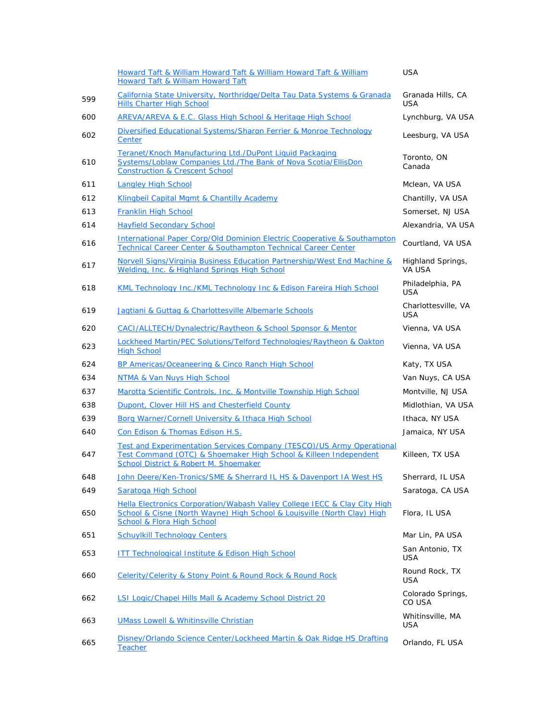|     | Howard Taft & William Howard Taft & William Howard Taft & William<br><b>Howard Taft &amp; William Howard Taft</b>                                                                             | <b>USA</b>                        |
|-----|-----------------------------------------------------------------------------------------------------------------------------------------------------------------------------------------------|-----------------------------------|
| 599 | California State University, Northridge/Delta Tau Data Systems & Granada<br><b>Hills Charter High School</b>                                                                                  | Granada Hills, CA<br><b>USA</b>   |
| 600 | AREVA/AREVA & E.C. Glass High School & Heritage High School                                                                                                                                   | Lynchburg, VA USA                 |
| 602 | Diversified Educational Systems/Sharon Ferrier & Monroe Technology<br>Center                                                                                                                  | Leesburg, VA USA                  |
| 610 | Teranet/Knoch Manufacturing Ltd./DuPont Liquid Packaging<br>Systems/Loblaw Companies Ltd./The Bank of Nova Scotia/EllisDon<br><b>Construction &amp; Crescent School</b>                       | Toronto, ON<br>Canada             |
| 611 | <b>Langley High School</b>                                                                                                                                                                    | Mclean, VA USA                    |
| 612 | Klingbeil Capital Mgmt & Chantilly Academy                                                                                                                                                    | Chantilly, VA USA                 |
| 613 | Franklin High School                                                                                                                                                                          | Somerset, NJ USA                  |
| 614 | <b>Hayfield Secondary School</b>                                                                                                                                                              | Alexandria, VA USA                |
| 616 | International Paper Corp/Old Dominion Electric Cooperative & Southampton<br>Technical Career Center & Southampton Technical Career Center                                                     | Courtland, VA USA                 |
| 617 | Norvell Signs/Virginia Business Education Partnership/West End Machine &<br>Welding, Inc. & Highland Springs High School                                                                      | Highland Springs,<br>VA USA       |
| 618 | KML Technology Inc./KML Technology Inc & Edison Fareira High School                                                                                                                           | Philadelphia, PA<br><b>USA</b>    |
| 619 | Jagtiani & Guttag & Charlottesville Albemarle Schools                                                                                                                                         | Charlottesville, VA<br><b>USA</b> |
| 620 | CACI/ALLTECH/Dynalectric/Raytheon & School Sponsor & Mentor                                                                                                                                   | Vienna, VA USA                    |
| 623 | Lockheed Martin/PEC Solutions/Telford Technologies/Raytheon & Oakton<br><b>High School</b>                                                                                                    | Vienna, VA USA                    |
| 624 | BP Americas/Oceaneering & Cinco Ranch High School                                                                                                                                             | Katy, TX USA                      |
| 634 | NTMA & Van Nuys High School                                                                                                                                                                   | Van Nuys, CA USA                  |
| 637 | Marotta Scientific Controls, Inc. & Montville Township High School                                                                                                                            | Montville, NJ USA                 |
| 638 | Dupont, Clover Hill HS and Chesterfield County                                                                                                                                                | Midlothian, VA USA                |
| 639 | Borg Warner/Cornell University & Ithaca High School                                                                                                                                           | Ithaca, NY USA                    |
| 640 | Con Edison & Thomas Edison H.S.                                                                                                                                                               | Jamaica, NY USA                   |
| 647 | Test and Experimentation Services Company (TESCO)/US Army Operational<br>Test Command (OTC) & Shoemaker High School & Killeen Independent<br><b>School District &amp; Robert M. Shoemaker</b> | Killeen, TX USA                   |
| 648 | <u>John Deere/Ken-Tronics/SME &amp; Sherrard IL HS &amp; Davenport IA West HS</u>                                                                                                             | Sherrard, IL USA                  |
| 649 | Saratoga High School                                                                                                                                                                          | Saratoga, CA USA                  |
| 650 | Hella Electronics Corporation/Wabash Valley College IECC & Clay City High<br>School & Cisne (North Wayne) High School & Louisville (North Clay) High<br><b>School &amp; Flora High School</b> | Flora, IL USA                     |
| 651 | <b>Schuylkill Technology Centers</b>                                                                                                                                                          | Mar Lin, PA USA                   |
| 653 | <b>ITT Technological Institute &amp; Edison High School</b>                                                                                                                                   | San Antonio, TX<br>USA            |
| 660 | Celerity/Celerity & Stony Point & Round Rock & Round Rock                                                                                                                                     | Round Rock, TX<br>USA             |
| 662 | LSI Logic/Chapel Hills Mall & Academy School District 20                                                                                                                                      | Colorado Springs,<br>CO USA       |
| 663 | <b>UMass Lowell &amp; Whitinsville Christian</b>                                                                                                                                              | Whitinsville, MA<br><b>USA</b>    |
| 665 | Disney/Orlando Science Center/Lockheed Martin & Oak Ridge HS Drafting<br><b>Teacher</b>                                                                                                       | Orlando, FL USA                   |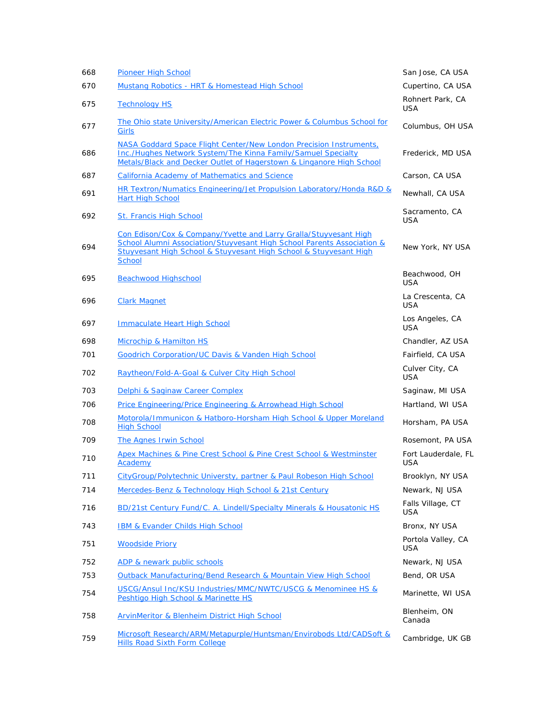| 668 | <b>Pioneer High School</b>                                                                                                                                                                                                       | San Jose, CA USA                  |
|-----|----------------------------------------------------------------------------------------------------------------------------------------------------------------------------------------------------------------------------------|-----------------------------------|
| 670 | Mustang Robotics - HRT & Homestead High School                                                                                                                                                                                   | Cupertino, CA USA                 |
| 675 | <b>Technology HS</b>                                                                                                                                                                                                             | Rohnert Park, CA<br><b>USA</b>    |
| 677 | <u>The Ohio state University/American Electric Power &amp; Columbus School for</u><br>Girls                                                                                                                                      | Columbus, OH USA                  |
| 686 | NASA Goddard Space Flight Center/New London Precision Instruments,<br>Inc./Hughes Network System/The Kinna Family/Samuel Specialty<br>Metals/Black and Decker Outlet of Hagerstown & Linganore High School                       | Frederick, MD USA                 |
| 687 | California Academy of Mathematics and Science                                                                                                                                                                                    | Carson, CA USA                    |
| 691 | HR Textron/Numatics Engineering/Jet Propulsion Laboratory/Honda R&D &<br><b>Hart High School</b>                                                                                                                                 | Newhall, CA USA                   |
| 692 | St. Francis High School                                                                                                                                                                                                          | Sacramento, CA<br>USA             |
| 694 | Con Edison/Cox & Company/Yvette and Larry Gralla/Stuyvesant High<br>School Alumni Association/Stuyvesant High School Parents Association &<br>Stuyvesant High School & Stuyvesant High School & Stuyvesant High<br><b>School</b> | New York, NY USA                  |
| 695 | <b>Beachwood Highschool</b>                                                                                                                                                                                                      | Beachwood, OH<br>USA              |
| 696 | <b>Clark Magnet</b>                                                                                                                                                                                                              | La Crescenta, CA<br><b>USA</b>    |
| 697 | <b>Immaculate Heart High School</b>                                                                                                                                                                                              | Los Angeles, CA<br><b>USA</b>     |
| 698 | Microchip & Hamilton HS                                                                                                                                                                                                          | Chandler, AZ USA                  |
| 701 | <b>Goodrich Corporation/UC Davis &amp; Vanden High School</b>                                                                                                                                                                    | Fairfield, CA USA                 |
| 702 | Raytheon/Fold-A-Goal & Culver City High School                                                                                                                                                                                   | Culver City, CA<br><b>USA</b>     |
| 703 | Delphi & Saginaw Career Complex                                                                                                                                                                                                  | Saginaw, MI USA                   |
| 706 | Price Engineering/Price Engineering & Arrowhead High School                                                                                                                                                                      | Hartland, WI USA                  |
| 708 | Motorola/Immunicon & Hatboro-Horsham High School & Upper Moreland<br><b>High School</b>                                                                                                                                          | Horsham, PA USA                   |
| 709 | <b>The Agnes Irwin School</b>                                                                                                                                                                                                    | Rosemont, PA USA                  |
| 710 | Apex Machines & Pine Crest School & Pine Crest School & Westminster<br>Academy                                                                                                                                                   | Fort Lauderdale, FL<br><b>USA</b> |
| 711 | CityGroup/Polytechnic Universty, partner & Paul Robeson High School                                                                                                                                                              | Brooklyn, NY USA                  |
| 714 | Mercedes-Benz & Technology High School & 21st Century                                                                                                                                                                            | Newark, NJ USA                    |
| 716 | BD/21st Century Fund/C. A. Lindell/Specialty Minerals & Housatonic HS                                                                                                                                                            | Falls Village, CT<br><b>USA</b>   |
| 743 | IBM & Evander Childs High School                                                                                                                                                                                                 | Bronx, NY USA                     |
| 751 | <b>Woodside Priory</b>                                                                                                                                                                                                           | Portola Valley, CA<br><b>USA</b>  |
| 752 | ADP & newark public schools                                                                                                                                                                                                      | Newark, NJ USA                    |
| 753 | Outback Manufacturing/Bend Research & Mountain View High School                                                                                                                                                                  | Bend, OR USA                      |
| 754 | USCG/Ansul Inc/KSU Industries/MMC/NWTC/USCG & Menominee HS &<br>Peshtigo High School & Marinette HS                                                                                                                              | Marinette, WI USA                 |
| 758 | ArvinMeritor & Blenheim District High School                                                                                                                                                                                     | Blenheim, ON<br>Canada            |
| 759 | Microsoft Research/ARM/Metapurple/Huntsman/Envirobods Ltd/CADSoft &<br><b>Hills Road Sixth Form College</b>                                                                                                                      | Cambridge, UK GB                  |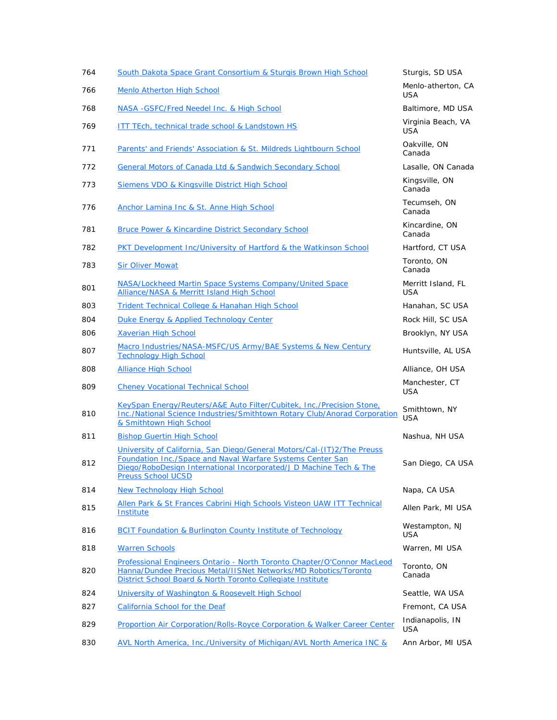| 764 | South Dakota Space Grant Consortium & Sturgis Brown High School                                                                                                                                          | Sturgis, SD USA                  |
|-----|----------------------------------------------------------------------------------------------------------------------------------------------------------------------------------------------------------|----------------------------------|
| 766 | Menlo Atherton High School                                                                                                                                                                               | Menlo-atherton, CA<br><b>USA</b> |
| 768 | NASA - GSFC/Fred Needel Inc. & High School                                                                                                                                                               | Baltimore, MD USA                |
| 769 | <b>ITT TEch, technical trade school &amp; Landstown HS</b>                                                                                                                                               | Virginia Beach, VA<br>USA        |
| 771 | Parents' and Friends' Association & St. Mildreds Lightbourn School                                                                                                                                       | Oakville, ON<br>Canada           |
| 772 | General Motors of Canada Ltd & Sandwich Secondary School                                                                                                                                                 | Lasalle, ON Canada               |
| 773 | Siemens VDO & Kingsville District High School                                                                                                                                                            | Kingsville, ON<br>Canada         |
| 776 | Anchor Lamina Inc & St. Anne High School                                                                                                                                                                 | Tecumseh, ON<br>Canada           |
| 781 | Bruce Power & Kincardine District Secondary School                                                                                                                                                       | Kincardine, ON<br>Canada         |
| 782 | PKT Development Inc/University of Hartford & the Watkinson School                                                                                                                                        | Hartford, CT USA                 |
| 783 | <b>Sir Oliver Mowat</b>                                                                                                                                                                                  | Toronto, ON<br>Canada            |
| 801 | NASA/Lockheed Martin Space Systems Company/United Space<br>Alliance/NASA & Merritt Island High School                                                                                                    | Merritt Island, FL<br><b>USA</b> |
| 803 | Trident Technical College & Hanahan High School                                                                                                                                                          | Hanahan, SC USA                  |
| 804 | Duke Energy & Applied Technology Center                                                                                                                                                                  | Rock Hill, SC USA                |
| 806 | <b>Xaverian High School</b>                                                                                                                                                                              | Brooklyn, NY USA                 |
| 807 | Macro Industries/NASA-MSFC/US Army/BAE Systems & New Century<br><b>Technology High School</b>                                                                                                            | Huntsville, AL USA               |
| 808 | <b>Alliance High School</b>                                                                                                                                                                              | Alliance, OH USA                 |
| 809 | <b>Cheney Vocational Technical School</b>                                                                                                                                                                | Manchester, CT<br><b>USA</b>     |
| 810 | KeySpan Energy/Reuters/A&E Auto Filter/Cubitek, Inc./Precision Stone,<br><b>Inc./National Science Industries/Smithtown Rotary Club/Anorad Corporation</b><br>& Smithtown High School                     | Smithtown, NY<br><b>USA</b>      |
| 811 | <b>Bishop Guertin High School</b>                                                                                                                                                                        | Nashua, NH USA                   |
| 812 | University of California, San Diego/General Motors/Cal-(IT)2/The Preuss<br>Foundation Inc./Space and Naval Warfare Systems Center San                                                                    | San Diego, CA USA                |
|     | Diego/RoboDesign International Incorporated/J D Machine Tech & The<br><b>Preuss School UCSD</b>                                                                                                          |                                  |
| 814 | <b>New Technology High School</b>                                                                                                                                                                        | Napa, CA USA                     |
| 815 | Allen Park & St Frances Cabrini High Schools Visteon UAW ITT Technical<br>Institute                                                                                                                      | Allen Park, MI USA               |
| 816 | <b>BCIT Foundation &amp; Burlington County Institute of Technology</b>                                                                                                                                   | Westampton, NJ<br>USA            |
| 818 | <b>Warren Schools</b>                                                                                                                                                                                    | Warren, MI USA                   |
| 820 | Professional Engineers Ontario - North Toronto Chapter/O'Connor MacLeod<br>Hanna/Dundee Precious Metal/IISNet Networks/MD Robotics/Toronto<br>District School Board & North Toronto Collegiate Institute | Toronto, ON<br>Canada            |
| 824 | University of Washington & Roosevelt High School                                                                                                                                                         | Seattle, WA USA                  |
| 827 | California School for the Deaf                                                                                                                                                                           | Fremont, CA USA                  |
| 829 | Proportion Air Corporation/Rolls-Royce Corporation & Walker Career Center                                                                                                                                | Indianapolis, IN<br><b>USA</b>   |
| 830 | AVL North America, Inc./University of Michigan/AVL North America INC &                                                                                                                                   | Ann Arbor, MI USA                |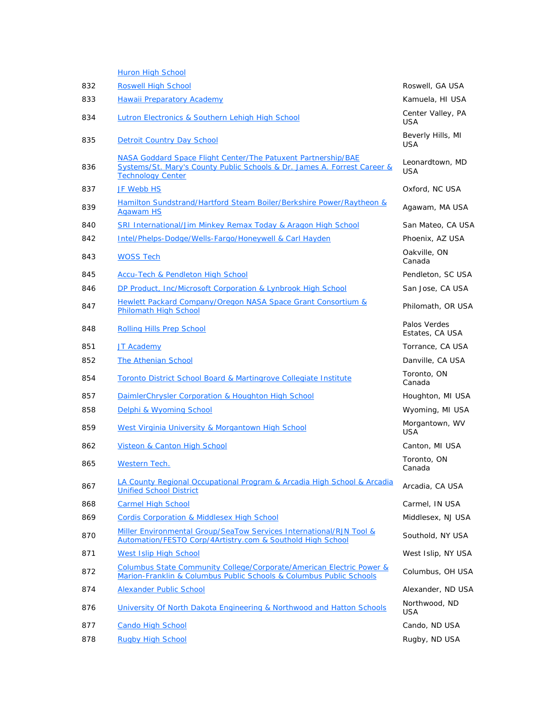|     | <b>Huron High School</b>                                                                                                                                              |                                 |
|-----|-----------------------------------------------------------------------------------------------------------------------------------------------------------------------|---------------------------------|
| 832 | <b>Roswell High School</b>                                                                                                                                            | Roswell, GA USA                 |
| 833 | <b>Hawaii Preparatory Academy</b>                                                                                                                                     | Kamuela, HI USA                 |
| 834 | Lutron Electronics & Southern Lehigh High School                                                                                                                      | Center Valley, PA<br><b>USA</b> |
| 835 | <b>Detroit Country Day School</b>                                                                                                                                     | Beverly Hills, MI<br><b>USA</b> |
| 836 | NASA Goddard Space Flight Center/The Patuxent Partnership/BAE<br>Systems/St. Mary's County Public Schools & Dr. James A. Forrest Career &<br><b>Technology Center</b> | Leonardtown, MD<br>USA          |
| 837 | <b>JF Webb HS</b>                                                                                                                                                     | Oxford, NC USA                  |
| 839 | Hamilton Sundstrand/Hartford Steam Boiler/Berkshire Power/Raytheon &<br><b>Agawam HS</b>                                                                              | Agawam, MA USA                  |
| 840 | SRI International/Jim Minkey Remax Today & Aragon High School                                                                                                         | San Mateo, CA USA               |
| 842 | Intel/Phelps-Dodge/Wells-Fargo/Honeywell & Carl Hayden                                                                                                                | Phoenix, AZ USA                 |
| 843 | <b>WOSS Tech</b>                                                                                                                                                      | Oakville, ON<br>Canada          |
| 845 | <b>Accu-Tech &amp; Pendleton High School</b>                                                                                                                          | Pendleton, SC USA               |
| 846 | DP Product, Inc/Microsoft Corporation & Lynbrook High School                                                                                                          | San Jose, CA USA                |
| 847 | Hewlett Packard Company/Oregon NASA Space Grant Consortium &<br>Philomath High School                                                                                 | Philomath, OR USA               |
| 848 | <b>Rolling Hills Prep School</b>                                                                                                                                      | Palos Verdes<br>Estates, CA USA |
| 851 | <b>JT Academy</b>                                                                                                                                                     | Torrance, CA USA                |
| 852 | <b>The Athenian School</b>                                                                                                                                            | Danville, CA USA                |
| 854 | Toronto District School Board & Martingrove Collegiate Institute                                                                                                      | Toronto, ON<br>Canada           |
| 857 | DaimlerChrysler Corporation & Houghton High School                                                                                                                    | Houghton, MI USA                |
| 858 | Delphi & Wyoming School                                                                                                                                               | Wyoming, MI USA                 |
| 859 | West Virginia University & Morgantown High School                                                                                                                     | Morgantown, WV<br><b>USA</b>    |
| 862 | <b>Visteon &amp; Canton High School</b>                                                                                                                               | Canton, MI USA                  |
| 865 | Western Tech.                                                                                                                                                         | Toronto, ON<br>Canada           |
| 867 | LA County Regional Occupational Program & Arcadia High School & Arcadia<br><b>Unified School District</b>                                                             | Arcadia, CA USA                 |
| 868 | <b>Carmel High School</b>                                                                                                                                             | Carmel, IN USA                  |
| 869 | <b>Cordis Corporation &amp; Middlesex High School</b>                                                                                                                 | Middlesex, NJ USA               |
| 870 | Miller Environmental Group/SeaTow Services International/RJN Tool &<br>Automation/FESTO Corp/4Artistry.com & Southold High School                                     | Southold, NY USA                |
| 871 | <b>West Islip High School</b>                                                                                                                                         | West Islip, NY USA              |
| 872 | Columbus State Community College/Corporate/American Electric Power &<br>Marion-Franklin & Columbus Public Schools & Columbus Public Schools                           | Columbus, OH USA                |
| 874 | <b>Alexander Public School</b>                                                                                                                                        | Alexander, ND USA               |
| 876 | University Of North Dakota Engineering & Northwood and Hatton Schools                                                                                                 | Northwood, ND<br><b>USA</b>     |
| 877 | <b>Cando High School</b>                                                                                                                                              | Cando, ND USA                   |
| 878 | <b>Rugby High School</b>                                                                                                                                              | Rugby, ND USA                   |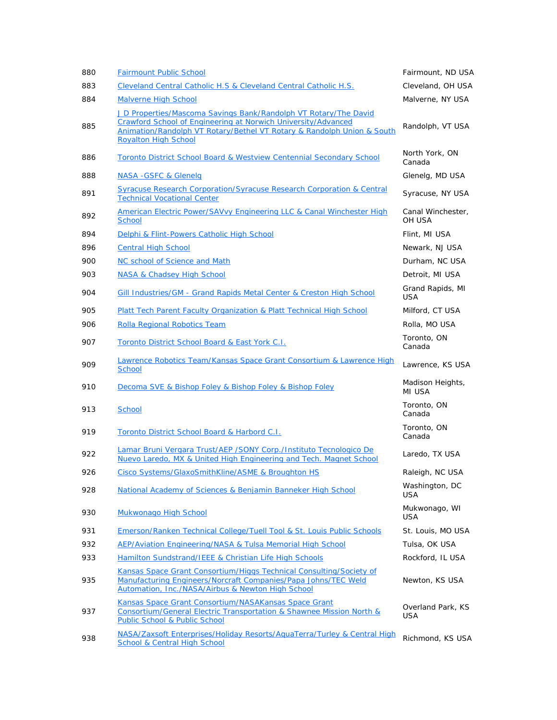| 880 | <b>Fairmount Public School</b>                                                                                                                                                                                                             | Fairmount, ND USA               |
|-----|--------------------------------------------------------------------------------------------------------------------------------------------------------------------------------------------------------------------------------------------|---------------------------------|
| 883 | Cleveland Central Catholic H.S & Cleveland Central Catholic H.S.                                                                                                                                                                           | Cleveland, OH USA               |
| 884 | <b>Malverne High School</b>                                                                                                                                                                                                                | Malverne, NY USA                |
| 885 | J D Properties/Mascoma Savings Bank/Randolph VT Rotary/The David<br>Crawford School of Engineering at Norwich University/Advanced<br>Animation/Randolph VT Rotary/Bethel VT Rotary & Randolph Union & South<br><b>Royalton High School</b> | Randolph, VT USA                |
| 886 | Toronto District School Board & Westview Centennial Secondary School                                                                                                                                                                       | North York, ON<br>Canada        |
| 888 | <b>NASA -GSFC &amp; Glenelg</b>                                                                                                                                                                                                            | Glenelg, MD USA                 |
| 891 | <b>Syracuse Research Corporation/Syracuse Research Corporation &amp; Central</b><br><b>Technical Vocational Center</b>                                                                                                                     | Syracuse, NY USA                |
| 892 | American Electric Power/SAVvy Engineering LLC & Canal Winchester High<br><b>School</b>                                                                                                                                                     | Canal Winchester,<br>OH USA     |
| 894 | Delphi & Flint-Powers Catholic High School                                                                                                                                                                                                 | Flint, MI USA                   |
| 896 | <b>Central High School</b>                                                                                                                                                                                                                 | Newark, NJ USA                  |
| 900 | NC school of Science and Math                                                                                                                                                                                                              | Durham, NC USA                  |
| 903 | <b>NASA &amp; Chadsey High School</b>                                                                                                                                                                                                      | Detroit, MI USA                 |
| 904 | Gill Industries/GM - Grand Rapids Metal Center & Creston High School                                                                                                                                                                       | Grand Rapids, MI<br>USA         |
| 905 | Platt Tech Parent Faculty Organization & Platt Technical High School                                                                                                                                                                       | Milford, CT USA                 |
| 906 | <b>Rolla Regional Robotics Team</b>                                                                                                                                                                                                        | Rolla, MO USA                   |
| 907 | Toronto District School Board & East York C.I.                                                                                                                                                                                             | Toronto, ON<br>Canada           |
| 909 | Lawrence Robotics Team/Kansas Space Grant Consortium & Lawrence High<br><b>School</b>                                                                                                                                                      | Lawrence, KS USA                |
| 910 | Decoma SVE & Bishop Foley & Bishop Foley & Bishop Foley                                                                                                                                                                                    | Madison Heights,<br>MI USA      |
| 913 | <b>School</b>                                                                                                                                                                                                                              | Toronto, ON<br>Canada           |
| 919 | Toronto District School Board & Harbord C.I.                                                                                                                                                                                               | Toronto, ON<br>Canada           |
| 922 | Lamar Bruni Vergara Trust/AEP / SONY Corp./Instituto Tecnologico De<br>Nuevo Laredo, MX & United High Engineering and Tech. Magnet School                                                                                                  | Laredo, TX USA                  |
| 926 | Cisco Systems/GlaxoSmithKline/ASME & Broughton HS                                                                                                                                                                                          | Raleigh, NC USA                 |
| 928 | National Academy of Sciences & Benjamin Banneker High School                                                                                                                                                                               | Washington, DC<br>USA           |
| 930 | Mukwonago High School                                                                                                                                                                                                                      | Mukwonago, WI<br>USA            |
| 931 | Emerson/Ranken Technical College/Tuell Tool & St. Louis Public Schools                                                                                                                                                                     | St. Louis, MO USA               |
| 932 | AEP/Aviation Engineering/NASA & Tulsa Memorial High School                                                                                                                                                                                 | Tulsa, OK USA                   |
| 933 | Hamilton Sundstrand/IEEE & Christian Life High Schools                                                                                                                                                                                     | Rockford, IL USA                |
| 935 | Kansas Space Grant Consortium/Higgs Technical Consulting/Society of<br>Manufacturing Engineers/Norcraft Companies/Papa Johns/TEC Weld<br>Automation, Inc./NASA/Airbus & Newton High School                                                 | Newton, KS USA                  |
| 937 | Kansas Space Grant Consortium/NASAKansas Space Grant<br>Consortium/General Electric Transportation & Shawnee Mission North &<br>Public School & Public School                                                                              | Overland Park, KS<br><b>USA</b> |
| 938 | NASA/Zaxsoft Enterprises/Holiday Resorts/AquaTerra/Turley & Central High<br><b>School &amp; Central High School</b>                                                                                                                        | Richmond, KS USA                |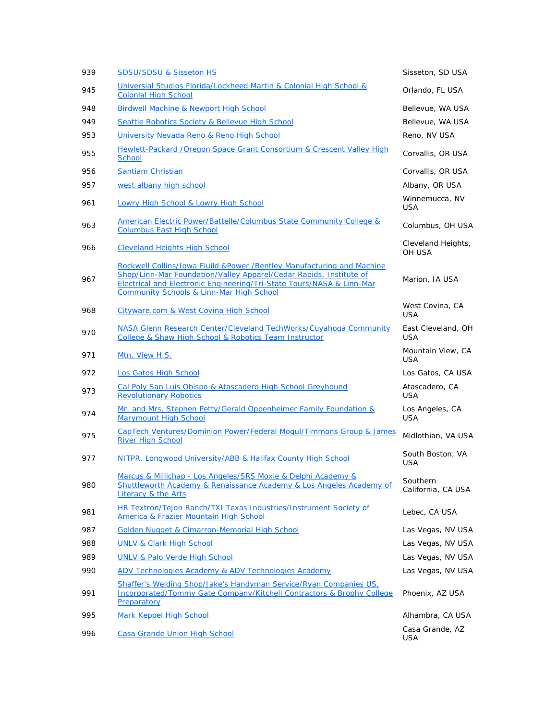| 939 | <b>SDSU/SDSU &amp; Sisseton HS</b>                                                                                                                                                                                                                                           | Sisseton, SD USA                 |
|-----|------------------------------------------------------------------------------------------------------------------------------------------------------------------------------------------------------------------------------------------------------------------------------|----------------------------------|
| 945 | Universial Studios Florida/Lockheed Martin & Colonial High School &<br><b>Colonial High School</b>                                                                                                                                                                           | Orlando, FL USA                  |
| 948 | <b>Birdwell Machine &amp; Newport High School</b>                                                                                                                                                                                                                            | Bellevue, WA USA                 |
| 949 | Seattle Robotics Society & Bellevue High School                                                                                                                                                                                                                              | Bellevue, WA USA                 |
| 953 | University Nevada Reno & Reno High School                                                                                                                                                                                                                                    | Reno, NV USA                     |
| 955 | Hewlett-Packard / Oregon Space Grant Consortium & Crescent Valley High<br><b>School</b>                                                                                                                                                                                      | Corvallis, OR USA                |
| 956 | <b>Santiam Christian</b>                                                                                                                                                                                                                                                     | Corvallis, OR USA                |
| 957 | west albany high school                                                                                                                                                                                                                                                      | Albany, OR USA                   |
| 961 | <b>Lowry High School &amp; Lowry High School</b>                                                                                                                                                                                                                             | Winnemucca, NV<br><b>USA</b>     |
| 963 | American Electric Power/Battelle/Columbus State Community College &<br><b>Columbus East High School</b>                                                                                                                                                                      | Columbus, OH USA                 |
| 966 | <b>Cleveland Heights High School</b>                                                                                                                                                                                                                                         | Cleveland Heights,<br>OH USA     |
| 967 | Rockwell Collins/Iowa Fluild &Power /Bentley Manufacturing and Machine<br>Shop/Linn-Mar Foundation/Valley Apparel/Cedar Rapids, Institute of<br>Electrical and Electronic Engineering/Tri-State Tours/NASA & Linn-Mar<br><b>Community Schools &amp; Linn-Mar High School</b> | Marion, IA USA                   |
| 968 | Cityware.com & West Covina High School                                                                                                                                                                                                                                       | West Covina, CA<br><b>USA</b>    |
| 970 | NASA Glenn Research Center/Cleveland TechWorks/Cuyahoga Community<br>College & Shaw High School & Robotics Team Instructor                                                                                                                                                   | East Cleveland, OH<br><b>USA</b> |
| 971 | Mtn. View H.S.                                                                                                                                                                                                                                                               | Mountain View, CA<br><b>USA</b>  |
| 972 | Los Gatos High School                                                                                                                                                                                                                                                        | Los Gatos, CA USA                |
| 973 | Cal Poly San Luis Obispo & Atascadero High School Greyhound<br><b>Revolutionary Robotics</b>                                                                                                                                                                                 | Atascadero, CA<br><b>USA</b>     |
| 974 | Mr. and Mrs. Stephen Petty/Gerald Oppenheimer Family Foundation &<br><b>Marymount High School</b>                                                                                                                                                                            | Los Angeles, CA<br><b>USA</b>    |
| 975 | CapTech Ventures/Dominion Power/Federal Mogul/Timmons Group & James<br><b>River High School</b>                                                                                                                                                                              | Midlothian, VA USA               |
| 977 | NITPR, Longwood University/ABB & Halifax County High School                                                                                                                                                                                                                  | South Boston, VA<br><b>USA</b>   |
| 980 | Marcus & Millichap - Los Angeles/SRS Moxie & Delphi Academy &<br>Shuttleworth Academy & Renaissance Academy & Los Angeles Academy of<br>Literacy & the Arts                                                                                                                  | Southern<br>California, CA USA   |
| 981 | HR Textron/Tejon Ranch/TXI Texas Industries/Instrument Society of<br>America & Frazier Mountain High School                                                                                                                                                                  | Lebec, CA USA                    |
| 987 | Golden Nugget & Cimarron-Memorial High School                                                                                                                                                                                                                                | Las Vegas, NV USA                |
| 988 | <b>UNLV &amp; Clark High School</b>                                                                                                                                                                                                                                          | Las Vegas, NV USA                |
| 989 | <b>UNLV &amp; Palo Verde High School</b>                                                                                                                                                                                                                                     | Las Vegas, NV USA                |
| 990 | ADV Technologies Academy & ADV Technologies Academy                                                                                                                                                                                                                          | Las Vegas, NV USA                |
| 991 | Shaffer's Welding Shop/Jake's Handyman Service/Ryan Companies US.<br><b>Incorporated/Tommy Gate Company/Kitchell Contractors &amp; Brophy College</b><br>Preparatory                                                                                                         | Phoenix, AZ USA                  |
| 995 | Mark Keppel High School                                                                                                                                                                                                                                                      | Alhambra, CA USA                 |
| 996 | Casa Grande Union High School                                                                                                                                                                                                                                                | Casa Grande, AZ<br><b>USA</b>    |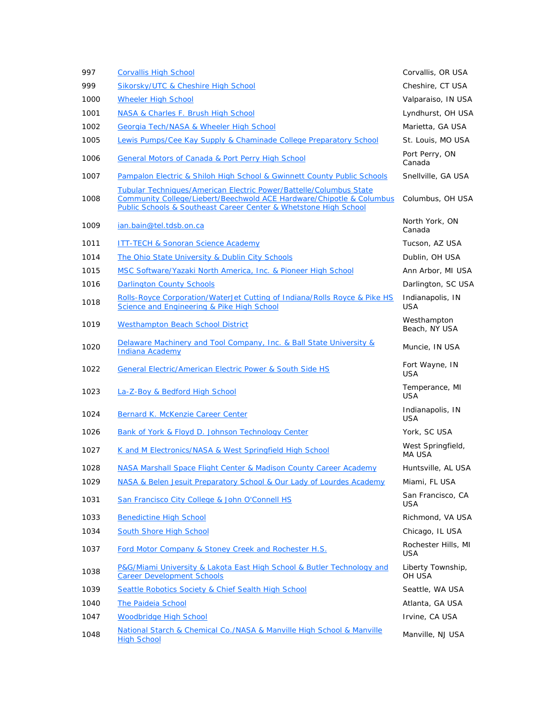| 997  | <b>Corvallis High School</b>                                                                                                                                                                                                     | Corvallis, OR USA              |
|------|----------------------------------------------------------------------------------------------------------------------------------------------------------------------------------------------------------------------------------|--------------------------------|
| 999  | Sikorsky/UTC & Cheshire High School                                                                                                                                                                                              | Cheshire, CT USA               |
| 1000 | <b>Wheeler High School</b>                                                                                                                                                                                                       | Valparaiso, IN USA             |
| 1001 | NASA & Charles F. Brush High School                                                                                                                                                                                              | Lyndhurst, OH USA              |
| 1002 | Georgia Tech/NASA & Wheeler High School                                                                                                                                                                                          | Marietta, GA USA               |
| 1005 | Lewis Pumps/Cee Kay Supply & Chaminade College Preparatory School                                                                                                                                                                | St. Louis, MO USA              |
| 1006 | <b>General Motors of Canada &amp; Port Perry High School</b>                                                                                                                                                                     | Port Perry, ON<br>Canada       |
| 1007 | Pampalon Electric & Shiloh High School & Gwinnett County Public Schools                                                                                                                                                          | Snellville, GA USA             |
| 1008 | <b>Tubular Techniques/American Electric Power/Battelle/Columbus State</b><br><b>Community College/Liebert/Beechwold ACE Hardware/Chipotle &amp; Columbus</b><br>Public Schools & Southeast Career Center & Whetstone High School | Columbus, OH USA               |
| 1009 | ian.bain@tel.tdsb.on.ca                                                                                                                                                                                                          | North York, ON<br>Canada       |
| 1011 | <b>ITT-TECH &amp; Sonoran Science Academy</b>                                                                                                                                                                                    | Tucson, AZ USA                 |
| 1014 | The Ohio State University & Dublin City Schools                                                                                                                                                                                  | Dublin, OH USA                 |
| 1015 | MSC Software/Yazaki North America, Inc. & Pioneer High School                                                                                                                                                                    | Ann Arbor, MI USA              |
| 1016 | <b>Darlington County Schools</b>                                                                                                                                                                                                 | Darlington, SC USA             |
| 1018 | Rolls-Royce Corporation/WaterJet Cutting of Indiana/Rolls Royce & Pike HS<br>Science and Engineering & Pike High School                                                                                                          | Indianapolis, IN<br><b>USA</b> |
| 1019 | <b>Westhampton Beach School District</b>                                                                                                                                                                                         | Westhampton<br>Beach, NY USA   |
| 1020 | Delaware Machinery and Tool Company, Inc. & Ball State University &<br><b>Indiana Academy</b>                                                                                                                                    | Muncie, IN USA                 |
| 1022 | General Electric/American Electric Power & South Side HS                                                                                                                                                                         | Fort Wayne, IN<br><b>USA</b>   |
| 1023 | La-Z-Boy & Bedford High School                                                                                                                                                                                                   | Temperance, MI<br><b>USA</b>   |
| 1024 | <b>Bernard K. McKenzie Career Center</b>                                                                                                                                                                                         | Indianapolis, IN<br><b>USA</b> |
| 1026 | <b>Bank of York &amp; Floyd D. Johnson Technology Center</b>                                                                                                                                                                     | York, SC USA                   |
| 1027 | K and M Electronics/NASA & West Springfield High School                                                                                                                                                                          | West Springfield,<br>MA USA    |
| 1028 | NASA Marshall Space Flight Center & Madison County Career Academy                                                                                                                                                                | Huntsville, AL USA             |
| 1029 | NASA & Belen Jesuit Preparatory School & Our Lady of Lourdes Academy                                                                                                                                                             | Miami, FL USA                  |
| 1031 | San Francisco City College & John O'Connell HS                                                                                                                                                                                   | San Francisco, CA<br>USA       |
| 1033 | <b>Benedictine High School</b>                                                                                                                                                                                                   | Richmond, VA USA               |
| 1034 | <b>South Shore High School</b>                                                                                                                                                                                                   | Chicago, IL USA                |
| 1037 | Ford Motor Company & Stoney Creek and Rochester H.S.                                                                                                                                                                             | Rochester Hills, MI<br>USA     |
| 1038 | P&G/Miami University & Lakota East High School & Butler Technology and<br><b>Career Development Schools</b>                                                                                                                      | Liberty Township,<br>OH USA    |
| 1039 | Seattle Robotics Society & Chief Sealth High School                                                                                                                                                                              | Seattle, WA USA                |
| 1040 | The Paideia School                                                                                                                                                                                                               | Atlanta, GA USA                |
| 1047 | <b>Woodbridge High School</b>                                                                                                                                                                                                    | Irvine, CA USA                 |
| 1048 | National Starch & Chemical Co./NASA & Manville High School & Manville<br><b>High School</b>                                                                                                                                      | Manville, NJ USA               |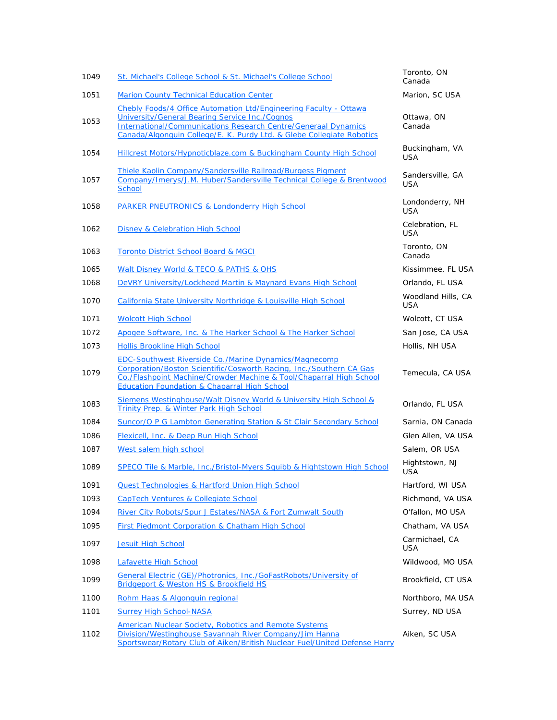| St. Michael's College School & St. Michael's College School                                                                                                                                                                                                           | Toronto, ON<br>Canada            |
|-----------------------------------------------------------------------------------------------------------------------------------------------------------------------------------------------------------------------------------------------------------------------|----------------------------------|
| <b>Marion County Technical Education Center</b>                                                                                                                                                                                                                       | Marion, SC USA                   |
| Chebly Foods/4 Office Automation Ltd/Engineering Faculty - Ottawa<br>University/General Bearing Service Inc./Cognos<br><b>International/Communications Research Centre/Generaal Dynamics</b><br>Canada/Algonquin College/E. K. Purdy Ltd. & Glebe Collegiate Robotics | Ottawa, ON<br>Canada             |
| Hillcrest Motors/Hypnoticblaze.com & Buckingham County High School                                                                                                                                                                                                    | Buckingham, VA<br><b>USA</b>     |
| Thiele Kaolin Company/Sandersville Railroad/Burgess Pigment<br>Company/Imerys/J.M. Huber/Sandersville Technical College & Brentwood<br><b>School</b>                                                                                                                  | Sandersville, GA<br><b>USA</b>   |
| <b>PARKER PNEUTRONICS &amp; Londonderry High School</b>                                                                                                                                                                                                               | Londonderry, NH<br>USA           |
| <b>Disney &amp; Celebration High School</b>                                                                                                                                                                                                                           | Celebration, FL<br><b>USA</b>    |
| <b>Toronto District School Board &amp; MGCI</b>                                                                                                                                                                                                                       | Toronto, ON<br>Canada            |
| Walt Disney World & TECO & PATHS & OHS                                                                                                                                                                                                                                | Kissimmee, FL USA                |
| DeVRY University/Lockheed Martin & Maynard Evans High School                                                                                                                                                                                                          | Orlando, FL USA                  |
| California State University Northridge & Louisville High School                                                                                                                                                                                                       | Woodland Hills, CA<br><b>USA</b> |
| <b>Wolcott High School</b>                                                                                                                                                                                                                                            | Wolcott, CT USA                  |
| Apogee Software, Inc. & The Harker School & The Harker School                                                                                                                                                                                                         | San Jose, CA USA                 |
| <b>Hollis Brookline High School</b>                                                                                                                                                                                                                                   | Hollis, NH USA                   |
| <b>EDC-Southwest Riverside Co./Marine Dynamics/Magnecomp</b><br>Corporation/Boston Scientific/Cosworth Racing, Inc./Southern CA Gas<br>Co./Flashpoint Machine/Crowder Machine & Tool/Chaparral High School<br><b>Education Foundation &amp; Chaparral High School</b> | Temecula, CA USA                 |
| Siemens Westinghouse/Walt Disney World & University High School &<br>Trinity Prep. & Winter Park High School                                                                                                                                                          | Orlando, FL USA                  |
| Suncor/O P G Lambton Generating Station & St Clair Secondary School                                                                                                                                                                                                   | Sarnia, ON Canada                |
| Flexicell, Inc. & Deep Run High School                                                                                                                                                                                                                                | Glen Allen, VA USA               |
| West salem high school                                                                                                                                                                                                                                                | Salem, OR USA                    |
| SPECO Tile & Marble, Inc./Bristol-Myers Squibb & Hightstown High School                                                                                                                                                                                               | Hightstown, NJ<br>USA            |
| <b>Quest Technologies &amp; Hartford Union High School</b>                                                                                                                                                                                                            | Hartford, WI USA                 |
| <b>CapTech Ventures &amp; Collegiate School</b>                                                                                                                                                                                                                       | Richmond, VA USA                 |
| River City Robots/Spur J Estates/NASA & Fort Zumwalt South                                                                                                                                                                                                            | O'fallon, MO USA                 |
| First Piedmont Corporation & Chatham High School                                                                                                                                                                                                                      | Chatham, VA USA                  |
| <b>Jesuit High School</b>                                                                                                                                                                                                                                             | Carmichael, CA<br><b>USA</b>     |
| Lafayette High School                                                                                                                                                                                                                                                 | Wildwood, MO USA                 |
| General Electric (GE)/Photronics, Inc./GoFastRobots/University of<br>Bridgeport & Weston HS & Brookfield HS                                                                                                                                                           | Brookfield, CT USA               |
| Rohm Haas & Algonquin regional                                                                                                                                                                                                                                        | Northboro, MA USA                |
| <b>Surrey High School-NASA</b>                                                                                                                                                                                                                                        | Surrey, ND USA                   |
| American Nuclear Society, Robotics and Remote Systems<br>Division/Westinghouse Savannah River Company/Jim Hanna<br>Sportswear/Rotary Club of Aiken/British Nuclear Fuel/United Defense Harry                                                                          | Aiken, SC USA                    |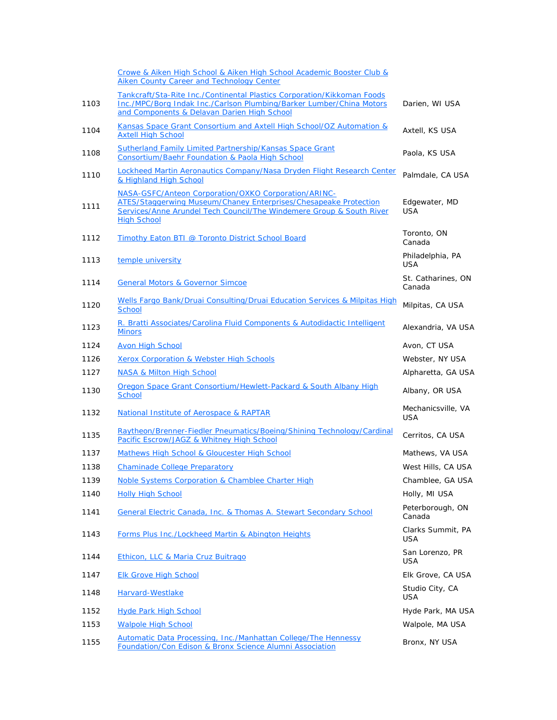|      | Crowe & Aiken High School & Aiken High School Academic Booster Club &<br>Aiken County Career and Technology Center                                                                                                            |                              |
|------|-------------------------------------------------------------------------------------------------------------------------------------------------------------------------------------------------------------------------------|------------------------------|
| 1103 | Tankcraft/Sta-Rite Inc./Continental Plastics Corporation/Kikkoman Foods<br>Inc./MPC/Borg Indak Inc./Carlson Plumbing/Barker Lumber/China Motors<br>and Components & Delavan Darien High School                                | Darien, WI USA               |
| 1104 | Kansas Space Grant Consortium and Axtell High School/OZ Automation &<br><b>Axtell High School</b>                                                                                                                             | Axtell, KS USA               |
| 1108 | <b>Sutherland Family Limited Partnership/Kansas Space Grant</b><br>Consortium/Baehr Foundation & Paola High School                                                                                                            | Paola, KS USA                |
| 1110 | Lockheed Martin Aeronautics Company/Nasa Dryden Flight Research Center<br>& Highland High School                                                                                                                              | Palmdale, CA USA             |
| 1111 | NASA-GSFC/Anteon Corporation/OXKO Corporation/ARINC-<br><b>ATES/Staggerwing Museum/Chaney Enterprises/Chesapeake Protection</b><br>Services/Anne Arundel Tech Council/The Windemere Group & South River<br><b>High School</b> | Edgewater, MD<br><b>USA</b>  |
| 1112 | Timothy Eaton BTI @ Toronto District School Board                                                                                                                                                                             | Toronto, ON<br>Canada        |
| 1113 | temple university                                                                                                                                                                                                             | Philadelphia, PA<br>USA      |
| 1114 | <b>General Motors &amp; Governor Simcoe</b>                                                                                                                                                                                   | St. Catharines, ON<br>Canada |
| 1120 | Wells Fargo Bank/Druai Consulting/Druai Education Services & Milpitas High<br><b>School</b>                                                                                                                                   | Milpitas, CA USA             |
| 1123 | R. Bratti Associates/Carolina Fluid Components & Autodidactic Intelligent<br><b>Minors</b>                                                                                                                                    | Alexandria, VA USA           |
| 1124 | <b>Avon High School</b>                                                                                                                                                                                                       | Avon, CT USA                 |
| 1126 | <b>Xerox Corporation &amp; Webster High Schools</b>                                                                                                                                                                           | Webster, NY USA              |
| 1127 | <b>NASA &amp; Milton High School</b>                                                                                                                                                                                          | Alpharetta, GA USA           |
| 1130 | Oregon Space Grant Consortium/Hewlett-Packard & South Albany High<br><b>School</b>                                                                                                                                            | Albany, OR USA               |
| 1132 | National Institute of Aerospace & RAPTAR                                                                                                                                                                                      | Mechanicsville, VA<br>USA    |
| 1135 | Raytheon/Brenner-Fiedler Pneumatics/Boeing/Shining Technology/Cardinal<br>Pacific Escrow/JAGZ & Whitney High School                                                                                                           | Cerritos, CA USA             |
| 1137 | Mathews High School & Gloucester High School                                                                                                                                                                                  | Mathews, VA USA              |
| 1138 | <b>Chaminade College Preparatory</b>                                                                                                                                                                                          | West Hills, CA USA           |
| 1139 | Noble Systems Corporation & Chamblee Charter High                                                                                                                                                                             | Chamblee, GA USA             |
| 1140 | <b>Holly High School</b>                                                                                                                                                                                                      | Holly, MI USA                |
| 1141 | General Electric Canada, Inc. & Thomas A. Stewart Secondary School                                                                                                                                                            | Peterborough, ON<br>Canada   |
| 1143 | Forms Plus Inc./Lockheed Martin & Abington Heights                                                                                                                                                                            | Clarks Summit, PA<br>USA     |
| 1144 | Ethicon, LLC & Maria Cruz Buitrago                                                                                                                                                                                            | San Lorenzo, PR<br>USA       |
| 1147 | <b>Elk Grove High School</b>                                                                                                                                                                                                  | Elk Grove, CA USA            |
| 1148 | Harvard-Westlake                                                                                                                                                                                                              | Studio City, CA<br>USA       |
| 1152 | <b>Hyde Park High School</b>                                                                                                                                                                                                  | Hyde Park, MA USA            |
| 1153 | <b>Walpole High School</b>                                                                                                                                                                                                    | Walpole, MA USA              |
| 1155 | Automatic Data Processing, Inc./Manhattan College/The Hennessy<br>Foundation/Con Edison & Bronx Science Alumni Association                                                                                                    | Bronx, NY USA                |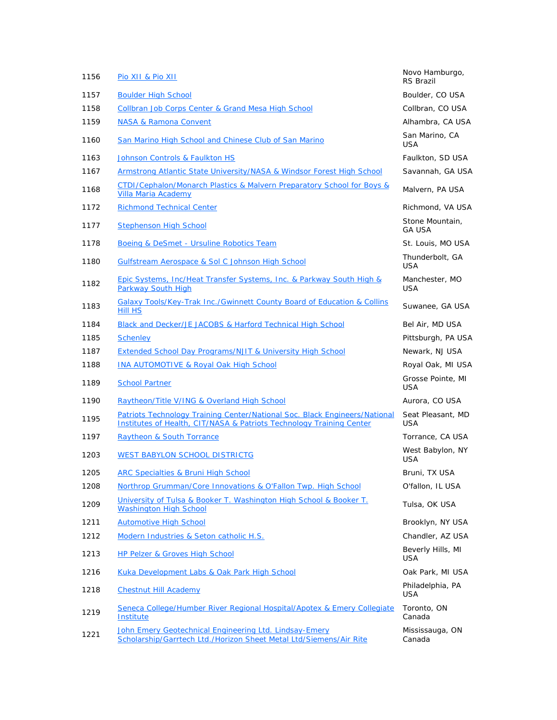| 1156 | Pio XII & Pio XII                                                                                                                                  | Novo Hamburgo,<br><b>RS Brazil</b> |
|------|----------------------------------------------------------------------------------------------------------------------------------------------------|------------------------------------|
| 1157 | <b>Boulder High School</b>                                                                                                                         | Boulder, CO USA                    |
| 1158 | <b>Collbran Job Corps Center &amp; Grand Mesa High School</b>                                                                                      | Collbran, CO USA                   |
| 1159 | <b>NASA &amp; Ramona Convent</b>                                                                                                                   | Alhambra, CA USA                   |
| 1160 | San Marino High School and Chinese Club of San Marino                                                                                              | San Marino, CA<br>USA              |
| 1163 | <b>Johnson Controls &amp; Faulkton HS</b>                                                                                                          | Faulkton, SD USA                   |
| 1167 | Armstrong Atlantic State University/NASA & Windsor Forest High School                                                                              | Savannah, GA USA                   |
| 1168 | CTDI/Cephalon/Monarch Plastics & Malvern Preparatory School for Boys &<br><b>Villa Maria Academy</b>                                               | Malvern, PA USA                    |
| 1172 | <b>Richmond Technical Center</b>                                                                                                                   | Richmond, VA USA                   |
| 1177 | <b>Stephenson High School</b>                                                                                                                      | Stone Mountain,<br><b>GA USA</b>   |
| 1178 | <b>Boeing &amp; DeSmet - Ursuline Robotics Team</b>                                                                                                | St. Louis, MO USA                  |
| 1180 | Gulfstream Aerospace & Sol C Johnson High School                                                                                                   | Thunderbolt, GA<br><b>USA</b>      |
| 1182 | <u>Epic Systems, Inc/Heat Transfer Systems, Inc. &amp; Parkway South High &amp;</u><br>Parkway South High                                          | Manchester, MO<br><b>USA</b>       |
| 1183 | Galaxy Tools/Key-Trak Inc./Gwinnett County Board of Education & Collins<br><b>Hill HS</b>                                                          | Suwanee, GA USA                    |
| 1184 | Black and Decker/JE JACOBS & Harford Technical High School                                                                                         | Bel Air, MD USA                    |
| 1185 | <b>Schenley</b>                                                                                                                                    | Pittsburgh, PA USA                 |
| 1187 | <b>Extended School Day Programs/NJIT &amp; University High School</b>                                                                              | Newark, NJ USA                     |
| 1188 | <b>INA AUTOMOTIVE &amp; Royal Oak High School</b>                                                                                                  | Royal Oak, MI USA                  |
| 1189 | <b>School Partner</b>                                                                                                                              | Grosse Pointe, MI<br><b>USA</b>    |
| 1190 | Raytheon/Title V/ING & Overland High School                                                                                                        | Aurora, CO USA                     |
| 1195 | Patriots Technology Training Center/National Soc. Black Engineers/National<br>Institutes of Health, CIT/NASA & Patriots Technology Training Center | Seat Pleasant, MD<br>USA           |
| 1197 | <b>Raytheon &amp; South Torrance</b>                                                                                                               | Torrance, CA USA                   |
| 1203 | <b>WEST BABYLON SCHOOL DISTRICTG</b>                                                                                                               | West Babylon, NY<br><b>USA</b>     |
| 1205 | <b>ARC Specialties &amp; Bruni High School</b>                                                                                                     | Bruni, TX USA                      |
| 1208 | Northrop Grumman/Core Innovations & O'Fallon Twp. High School                                                                                      | O'fallon, IL USA                   |
| 1209 | University of Tulsa & Booker T. Washington High School & Booker T.<br><b>Washington High School</b>                                                | Tulsa, OK USA                      |
| 1211 | <b>Automotive High School</b>                                                                                                                      | Brooklyn, NY USA                   |
| 1212 | Modern Industries & Seton catholic H.S.                                                                                                            | Chandler, AZ USA                   |
| 1213 | <b>HP Pelzer &amp; Groves High School</b>                                                                                                          | Beverly Hills, MI<br>USA           |
| 1216 | Kuka Development Labs & Oak Park High School                                                                                                       | Oak Park, MI USA                   |
| 1218 | <b>Chestnut Hill Academy</b>                                                                                                                       | Philadelphia, PA<br><b>USA</b>     |
| 1219 | Seneca College/Humber River Regional Hospital/Apotex & Emery Collegiate<br>Institute                                                               | Toronto, ON<br>Canada              |
| 1221 | John Emery Geotechnical Engineering Ltd. Lindsay-Emery<br>Scholarship/Garrtech Ltd./Horizon Sheet Metal Ltd/Siemens/Air Rite                       | Mississauga, ON<br>Canada          |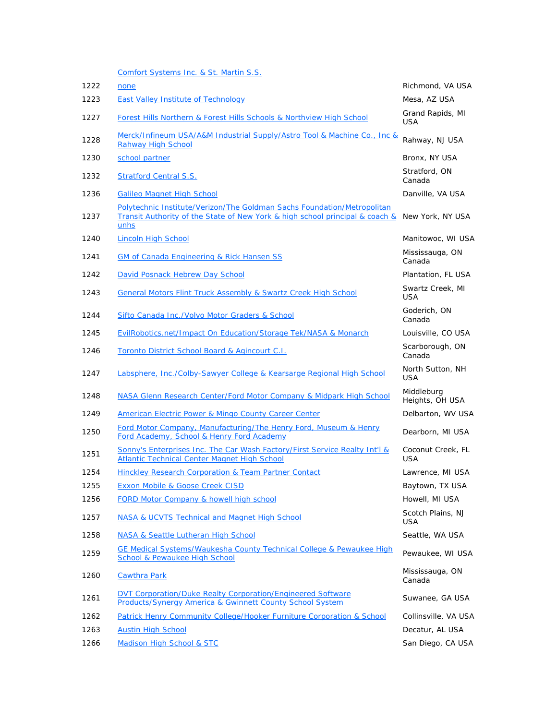Comfort Systems Inc. & St. Martin S.S.

| 1222 | none                                                                                                                                                            | Richmond, VA USA                |
|------|-----------------------------------------------------------------------------------------------------------------------------------------------------------------|---------------------------------|
| 1223 | <b>East Valley Institute of Technology</b>                                                                                                                      | Mesa, AZ USA                    |
| 1227 | Forest Hills Northern & Forest Hills Schools & Northview High School                                                                                            | Grand Rapids, MI<br><b>USA</b>  |
| 1228 | Merck/Infineum USA/A&M Industrial Supply/Astro Tool & Machine Co., Inc &<br><b>Rahway High School</b>                                                           | Rahway, NJ USA                  |
| 1230 | school partner                                                                                                                                                  | Bronx, NY USA                   |
| 1232 | <b>Stratford Central S.S.</b>                                                                                                                                   | Stratford, ON<br>Canada         |
| 1236 | <b>Galileo Magnet High School</b>                                                                                                                               | Danville, VA USA                |
| 1237 | Polytechnic Institute/Verizon/The Goldman Sachs Foundation/Metropolitan<br>Transit Authority of the State of New York & high school principal & coach &<br>unhs | New York, NY USA                |
| 1240 | <b>Lincoln High School</b>                                                                                                                                      | Manitowoc, WI USA               |
| 1241 | <b>GM of Canada Engineering &amp; Rick Hansen SS</b>                                                                                                            | Mississauga, ON<br>Canada       |
| 1242 | David Posnack Hebrew Day School                                                                                                                                 | Plantation, FL USA              |
| 1243 | General Motors Flint Truck Assembly & Swartz Creek High School                                                                                                  | Swartz Creek, MI<br><b>USA</b>  |
| 1244 | Sifto Canada Inc./Volvo Motor Graders & School                                                                                                                  | Goderich, ON<br>Canada          |
| 1245 | EvilRobotics.net/Impact On Education/Storage Tek/NASA & Monarch                                                                                                 | Louisville, CO USA              |
| 1246 | Toronto District School Board & Agincourt C.I.                                                                                                                  | Scarborough, ON<br>Canada       |
| 1247 | Labsphere, Inc./Colby-Sawyer College & Kearsarge Regional High School                                                                                           | North Sutton, NH<br><b>USA</b>  |
| 1248 | NASA Glenn Research Center/Ford Motor Company & Midpark High School                                                                                             | Middleburg<br>Heights, OH USA   |
| 1249 | <b>American Electric Power &amp; Mingo County Career Center</b>                                                                                                 | Delbarton, WV USA               |
| 1250 | <b>Ford Motor Company, Manufacturing/The Henry Ford, Museum &amp; Henry</b><br>Ford Academy, School & Henry Ford Academy                                        | Dearborn, MI USA                |
| 1251 | Sonny's Enterprises Inc. The Car Wash Factory/First Service Realty Int'l &<br>Atlantic Technical Center Magnet High School                                      | Coconut Creek, FL<br><b>USA</b> |
| 1254 | Hinckley Research Corporation & Team Partner Contact                                                                                                            | Lawrence, MI USA                |
| 1255 | Exxon Mobile & Goose Creek CISD                                                                                                                                 | Baytown, TX USA                 |
| 1256 | FORD Motor Company & howell high school                                                                                                                         | Howell, MI USA                  |
| 1257 | NASA & UCVTS Technical and Magnet High School                                                                                                                   | Scotch Plains, NJ<br><b>USA</b> |
| 1258 | NASA & Seattle Lutheran High School                                                                                                                             | Seattle, WA USA                 |
| 1259 | <b>GE Medical Systems/Waukesha County Technical College &amp; Pewaukee High</b><br><b>School &amp; Pewaukee High School</b>                                     | Pewaukee, WI USA                |
| 1260 | <b>Cawthra Park</b>                                                                                                                                             | Mississauga, ON<br>Canada       |
| 1261 | DVT Corporation/Duke Realty Corporation/Engineered Software<br>Products/Synergy America & Gwinnett County School System                                         | Suwanee, GA USA                 |
| 1262 | Patrick Henry Community College/Hooker Furniture Corporation & School                                                                                           | Collinsville, VA USA            |
| 1263 | <b>Austin High School</b>                                                                                                                                       | Decatur, AL USA                 |
| 1266 | <b>Madison High School &amp; STC</b>                                                                                                                            | San Diego, CA USA               |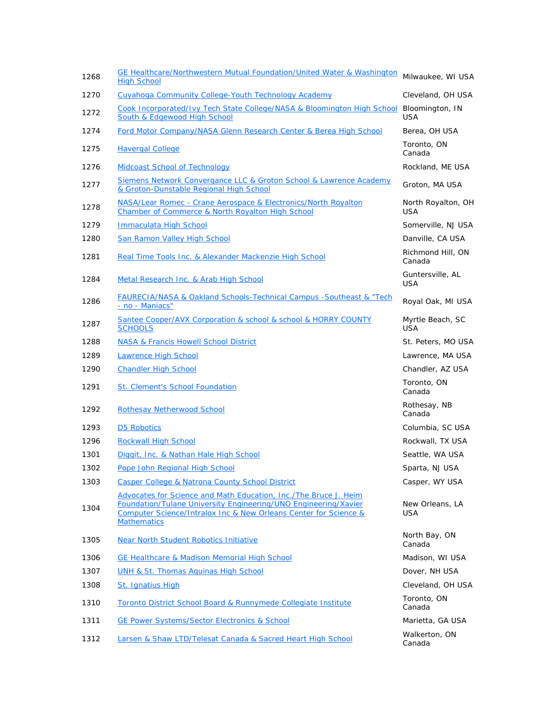| 1268 | GE Healthcare/Northwestern Mutual Foundation/United Water & Washington<br><b>High School</b>                                                                                                                                  | Milwaukee, WI USA                |
|------|-------------------------------------------------------------------------------------------------------------------------------------------------------------------------------------------------------------------------------|----------------------------------|
| 1270 | Cuyahoga Community College-Youth Technology Academy                                                                                                                                                                           | Cleveland, OH USA                |
| 1272 | Cook Incorporated/Ivy Tech State College/NASA & Bloomington High School<br>South & Edgewood High School                                                                                                                       | Bloomington, IN<br><b>USA</b>    |
| 1274 | Ford Motor Company/NASA Glenn Research Center & Berea High School                                                                                                                                                             | Berea, OH USA                    |
| 1275 | <b>Havergal College</b>                                                                                                                                                                                                       | Toronto, ON<br>Canada            |
| 1276 | Midcoast School of Technology                                                                                                                                                                                                 | Rockland, ME USA                 |
| 1277 | Siemens Network Convergance LLC & Groton School & Lawrence Academy<br>& Groton-Dunstable Regional High School                                                                                                                 | Groton, MA USA                   |
| 1278 | NASA/Lear Romec - Crane Aerospace & Electronics/North Royalton<br>Chamber of Commerce & North Royalton High School                                                                                                            | North Royalton, OH<br><b>USA</b> |
| 1279 | Immaculata High School                                                                                                                                                                                                        | Somerville, NJ USA               |
| 1280 | San Ramon Valley High School                                                                                                                                                                                                  | Danville, CA USA                 |
| 1281 | Real Time Tools Inc. & Alexander Mackenzie High School                                                                                                                                                                        | Richmond Hill, ON<br>Canada      |
| 1284 | Metal Research Inc. & Arab High School                                                                                                                                                                                        | Guntersville, AL<br><b>USA</b>   |
| 1286 | <b>FAURECIA/NASA &amp; Oakland Schools-Technical Campus -Southeast &amp; "Tech</b><br>- no - Maniacs"                                                                                                                         | Royal Oak, MI USA                |
| 1287 | Santee Cooper/AVX Corporation & school & school & HORRY COUNTY<br><b>SCHOOLS</b>                                                                                                                                              | Myrtle Beach, SC<br><b>USA</b>   |
| 1288 | <b>NASA &amp; Francis Howell School District</b>                                                                                                                                                                              | St. Peters, MO USA               |
| 1289 | <b>Lawrence High School</b>                                                                                                                                                                                                   | Lawrence, MA USA                 |
| 1290 | <b>Chandler High School</b>                                                                                                                                                                                                   | Chandler, AZ USA                 |
| 1291 | St. Clement's School Foundation                                                                                                                                                                                               | Toronto, ON<br>Canada            |
| 1292 | <b>Rothesay Netherwood School</b>                                                                                                                                                                                             | Rothesay, NB<br>Canada           |
| 1293 | <b>D5 Robotics</b>                                                                                                                                                                                                            | Columbia, SC USA                 |
| 1296 | <b>Rockwall High School</b>                                                                                                                                                                                                   | Rockwall, TX USA                 |
| 1301 | Diggit, Inc. & Nathan Hale High School                                                                                                                                                                                        | Seattle, WA USA                  |
| 1302 | Pope John Regional High School                                                                                                                                                                                                | Sparta, NJ USA                   |
| 1303 | <b>Casper College &amp; Natrona County School District</b>                                                                                                                                                                    | Casper, WY USA                   |
| 1304 | Advocates for Science and Math Education, Inc./The Bruce J. Heim<br>Foundation/Tulane University Engineering/UNO Engineering/Xavier<br>Computer Science/Intralox Inc & New Orleans Center for Science &<br><b>Mathematics</b> | New Orleans, LA<br><b>USA</b>    |
| 1305 | Near North Student Robotics Initiative                                                                                                                                                                                        | North Bay, ON<br>Canada          |
| 1306 | <b>GE Healthcare &amp; Madison Memorial High School</b>                                                                                                                                                                       | Madison, WI USA                  |
| 1307 | UNH & St. Thomas Aguinas High School                                                                                                                                                                                          | Dover, NH USA                    |
| 1308 | <b>St. Ignatius High</b>                                                                                                                                                                                                      | Cleveland, OH USA                |
| 1310 | Toronto District School Board & Runnymede Collegiate Institute                                                                                                                                                                | Toronto, ON<br>Canada            |
| 1311 | <b>GE Power Systems/Sector Electronics &amp; School</b>                                                                                                                                                                       | Marietta, GA USA                 |
| 1312 | Larsen & Shaw LTD/Telesat Canada & Sacred Heart High School                                                                                                                                                                   | Walkerton, ON<br>Canada          |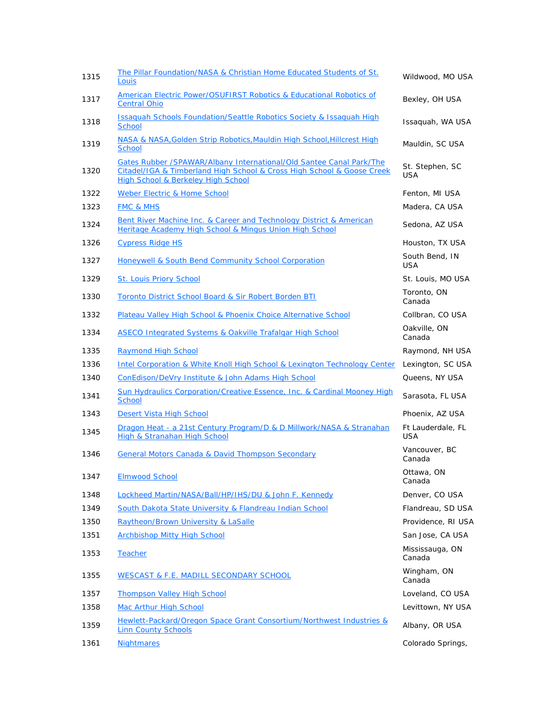| 1315 | The Pillar Foundation/NASA & Christian Home Educated Students of St.<br>Louis                                                                                                        | Wildwood, MO USA                |
|------|--------------------------------------------------------------------------------------------------------------------------------------------------------------------------------------|---------------------------------|
| 1317 | American Electric Power/OSUFIRST Robotics & Educational Robotics of<br><b>Central Ohio</b>                                                                                           | Bexley, OH USA                  |
| 1318 | <b>Issaquah Schools Foundation/Seattle Robotics Society &amp; Issaquah High</b><br>School                                                                                            | Issaguah, WA USA                |
| 1319 | NASA & NASA, Golden Strip Robotics, Mauldin High School, Hillcrest High<br><b>School</b>                                                                                             | Mauldin, SC USA                 |
| 1320 | Gates Rubber / SPAWAR/Albany International/Old Santee Canal Park/The<br>Citadel/IGA & Timberland High School & Cross High School & Goose Creek<br>High School & Berkeley High School | St. Stephen, SC<br><b>USA</b>   |
| 1322 | Weber Electric & Home School                                                                                                                                                         | Fenton, MI USA                  |
| 1323 | <b>FMC &amp; MHS</b>                                                                                                                                                                 | Madera, CA USA                  |
| 1324 | Bent River Machine Inc. & Career and Technology District & American<br>Heritage Academy High School & Mingus Union High School                                                       | Sedona, AZ USA                  |
| 1326 | <b>Cypress Ridge HS</b>                                                                                                                                                              | Houston, TX USA                 |
| 1327 | Honeywell & South Bend Community School Corporation                                                                                                                                  | South Bend, IN<br><b>USA</b>    |
| 1329 | <b>St. Louis Priory School</b>                                                                                                                                                       | St. Louis, MO USA               |
| 1330 | Toronto District School Board & Sir Robert Borden BTI                                                                                                                                | Toronto, ON<br>Canada           |
| 1332 | Plateau Valley High School & Phoenix Choice Alternative School                                                                                                                       | Collbran, CO USA                |
| 1334 | ASECO Integrated Systems & Oakville Trafalgar High School                                                                                                                            | Oakville, ON<br>Canada          |
| 1335 | <b>Raymond High School</b>                                                                                                                                                           | Raymond, NH USA                 |
| 1336 | Intel Corporation & White Knoll High School & Lexington Technology Center                                                                                                            | Lexington, SC USA               |
| 1340 | ConEdison/DeVry Institute & John Adams High School                                                                                                                                   | Queens, NY USA                  |
| 1341 | Sun Hydraulics Corporation/Creative Essence, Inc. & Cardinal Mooney High<br><b>School</b>                                                                                            | Sarasota, FL USA                |
| 1343 | Desert Vista High School                                                                                                                                                             | Phoenix, AZ USA                 |
| 1345 | Dragon Heat - a 21st Century Program/D & D Millwork/NASA & Stranahan<br>High & Stranahan High School                                                                                 | Ft Lauderdale, FL<br><b>USA</b> |
| 1346 | <b>General Motors Canada &amp; David Thompson Secondary</b>                                                                                                                          | Vancouver, BC<br>Canada         |
| 1347 | <b>Elmwood School</b>                                                                                                                                                                | Ottawa, ON<br>Canada            |
| 1348 | Lockheed Martin/NASA/Ball/HP/IHS/DU & John F. Kennedy                                                                                                                                | Denver, CO USA                  |
| 1349 | South Dakota State University & Flandreau Indian School                                                                                                                              | Flandreau, SD USA               |
| 1350 | Raytheon/Brown University & LaSalle                                                                                                                                                  | Providence, RI USA              |
| 1351 | <b>Archbishop Mitty High School</b>                                                                                                                                                  | San Jose, CA USA                |
| 1353 | <b>Teacher</b>                                                                                                                                                                       | Mississauga, ON<br>Canada       |
| 1355 | <b>WESCAST &amp; F.E. MADILL SECONDARY SCHOOL</b>                                                                                                                                    | Wingham, ON<br>Canada           |
| 1357 | <b>Thompson Valley High School</b>                                                                                                                                                   | Loveland, CO USA                |
| 1358 | <b>Mac Arthur High School</b>                                                                                                                                                        | Levittown, NY USA               |
| 1359 | Hewlett-Packard/Oregon Space Grant Consortium/Northwest Industries &<br><b>Linn County Schools</b>                                                                                   | Albany, OR USA                  |
| 1361 | <b>Nightmares</b>                                                                                                                                                                    | Colorado Springs,               |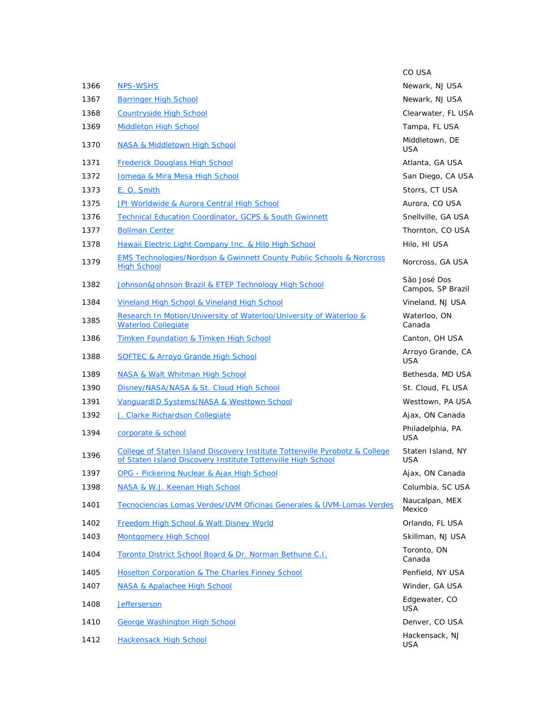|      |                                                                                                                                                        | CO USA                            |
|------|--------------------------------------------------------------------------------------------------------------------------------------------------------|-----------------------------------|
| 1366 | <u>NPS-WSHS</u>                                                                                                                                        | Newark, NJ USA                    |
| 1367 | <b>Barringer High School</b>                                                                                                                           | Newark, NJ USA                    |
| 1368 | <b>Countryside High School</b>                                                                                                                         | Clearwater, FL USA                |
| 1369 | <b>Middleton High School</b>                                                                                                                           | Tampa, FL USA                     |
| 1370 | NASA & Middletown High School                                                                                                                          | Middletown, DE<br><b>USA</b>      |
| 1371 | <b>Frederick Douglass High School</b>                                                                                                                  | Atlanta, GA USA                   |
| 1372 | <b>Iomega &amp; Mira Mesa High School</b>                                                                                                              | San Diego, CA USA                 |
| 1373 | E. O. Smith                                                                                                                                            | Storrs, CT USA                    |
| 1375 | JPI Worldwide & Aurora Central High School                                                                                                             | Aurora, CO USA                    |
| 1376 | <b>Technical Education Coordinator, GCPS &amp; South Gwinnett</b>                                                                                      | Snellville, GA USA                |
| 1377 | <b>Bollman Center</b>                                                                                                                                  | Thornton, CO USA                  |
| 1378 | <b>Hawaii Electric Light Company Inc. &amp; Hilo High School</b>                                                                                       | Hilo, HI USA                      |
| 1379 | <b>EMS Technologies/Nordson &amp; Gwinnett County Public Schools &amp; Norcross</b><br><b>High School</b>                                              | Norcross, GA USA                  |
| 1382 | Johnson&Johnson Brazil & ETEP Technology High School                                                                                                   | São José Dos<br>Campos, SP Brazil |
| 1384 | Vineland High School & Vineland High School                                                                                                            | Vineland, NJ USA                  |
| 1385 | Research In Motion/University of Waterloo/University of Waterloo &<br><b>Waterloo Collegiate</b>                                                       | Waterloo, ON<br>Canada            |
| 1386 | Timken Foundation & Timken High School                                                                                                                 | Canton, OH USA                    |
| 1388 | <b>SOFTEC &amp; Arroyo Grande High School</b>                                                                                                          | Arroyo Grande, CA<br><b>USA</b>   |
| 1389 | NASA & Walt Whitman High School                                                                                                                        | Bethesda, MD USA                  |
| 1390 | Disney/NASA/NASA & St. Cloud High School                                                                                                               | St. Cloud, FL USA                 |
| 1391 | VanquardID Systems/NASA & Westtown School                                                                                                              | Westtown, PA USA                  |
| 1392 | J. Clarke Richardson Collegiate                                                                                                                        | Ajax, ON Canada                   |
| 1394 | corporate & school                                                                                                                                     | Philadelphia, PA<br><b>USA</b>    |
| 1396 | <b>College of Staten Island Discovery Institute Tottenville Pyrobotz &amp; College</b><br>of Staten Island Discovery Institute Tottenville High School | Staten Island, NY<br><b>USA</b>   |
| 1397 | OPG - Pickering Nuclear & Ajax High School                                                                                                             | Ajax, ON Canada                   |
| 1398 | NASA & W.J. Keenan High School                                                                                                                         | Columbia, SC USA                  |
| 1401 | Tecnociencias Lomas Verdes/UVM Oficinas Generales & UVM-Lomas Verdes                                                                                   | Naucalpan, MEX<br>Mexico          |
| 1402 | Freedom High School & Walt Disney World                                                                                                                | Orlando, FL USA                   |
| 1403 | <b>Montgomery High School</b>                                                                                                                          | Skillman, NJ USA                  |
| 1404 | Toronto District School Board & Dr. Norman Bethune C.I.                                                                                                | Toronto, ON<br>Canada             |
| 1405 | Hoselton Corporation & The Charles Finney School                                                                                                       | Penfield, NY USA                  |
| 1407 | NASA & Apalachee High School                                                                                                                           | Winder, GA USA                    |
| 1408 | <b>Jefferserson</b>                                                                                                                                    | Edgewater, CO<br><b>USA</b>       |
| 1410 | <b>George Washington High School</b>                                                                                                                   | Denver, CO USA                    |
| 1412 | <b>Hackensack High School</b>                                                                                                                          | Hackensack, NJ<br>USA             |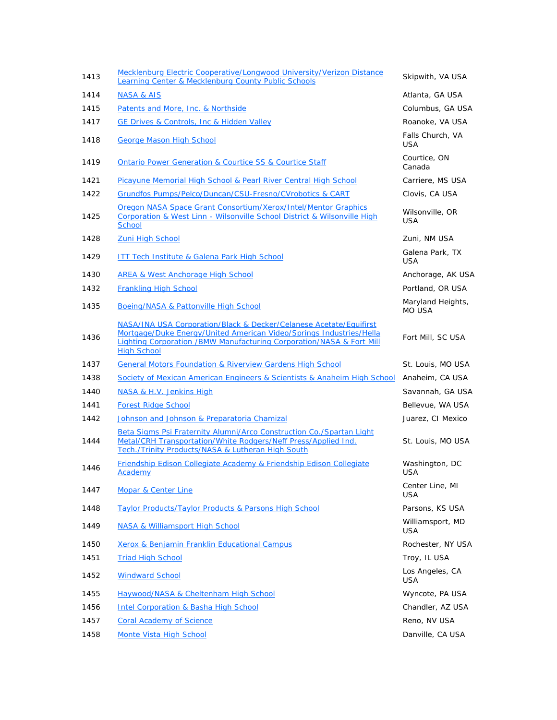| 1413 | Mecklenburg Electric Cooperative/Longwood University/Verizon Distance<br>Learning Center & Mecklenburg County Public Schools                                                                                                             | Skipwith, VA USA                   |
|------|------------------------------------------------------------------------------------------------------------------------------------------------------------------------------------------------------------------------------------------|------------------------------------|
| 1414 | <b>NASA &amp; AIS</b>                                                                                                                                                                                                                    | Atlanta, GA USA                    |
| 1415 | Patents and More, Inc. & Northside                                                                                                                                                                                                       | Columbus, GA USA                   |
| 1417 | GE Drives & Controls, Inc & Hidden Valley                                                                                                                                                                                                | Roanoke, VA USA                    |
| 1418 | <b>George Mason High School</b>                                                                                                                                                                                                          | Falls Church, VA<br><b>USA</b>     |
| 1419 | <b>Ontario Power Generation &amp; Courtice SS &amp; Courtice Staff</b>                                                                                                                                                                   | Courtice, ON<br>Canada             |
| 1421 | Picayune Memorial High School & Pearl River Central High School                                                                                                                                                                          | Carriere, MS USA                   |
| 1422 | Grundfos Pumps/Pelco/Duncan/CSU-Fresno/CVrobotics & CART                                                                                                                                                                                 | Clovis, CA USA                     |
| 1425 | Oregon NASA Space Grant Consortium/Xerox/Intel/Mentor Graphics<br>Corporation & West Linn - Wilsonville School District & Wilsonville High<br><b>School</b>                                                                              | Wilsonville, OR<br><b>USA</b>      |
| 1428 | <b>Zuni High School</b>                                                                                                                                                                                                                  | Zuni, NM USA                       |
| 1429 | <b>ITT Tech Institute &amp; Galena Park High School</b>                                                                                                                                                                                  | Galena Park, TX<br><b>USA</b>      |
| 1430 | <b>AREA &amp; West Anchorage High School</b>                                                                                                                                                                                             | Anchorage, AK USA                  |
| 1432 | <b>Frankling High School</b>                                                                                                                                                                                                             | Portland, OR USA                   |
| 1435 | Boeing/NASA & Pattonville High School                                                                                                                                                                                                    | Maryland Heights,<br><b>MO USA</b> |
| 1436 | NASA/INA USA Corporation/Black & Decker/Celanese Acetate/Equifirst<br>Mortgage/Duke Energy/United American Video/Springs Industries/Hella<br>Lighting Corporation / BMW Manufacturing Corporation/NASA & Fort Mill<br><b>High School</b> | Fort Mill, SC USA                  |
|      |                                                                                                                                                                                                                                          |                                    |
| 1437 | <b>General Motors Foundation &amp; Riverview Gardens High School</b>                                                                                                                                                                     | St. Louis, MO USA                  |
| 1438 | Society of Mexican American Engineers & Scientists & Anaheim High School                                                                                                                                                                 | Anaheim, CA USA                    |
| 1440 | NASA & H.V. Jenkins High                                                                                                                                                                                                                 | Savannah, GA USA                   |
| 1441 | <b>Forest Ridge School</b>                                                                                                                                                                                                               | Bellevue, WA USA                   |
| 1442 | Johnson and Johnson & Preparatoria Chamizal                                                                                                                                                                                              | Juarez, CI Mexico                  |
| 1444 | Beta Sigms Psi Fraternity Alumni/Arco Construction Co./Spartan Light<br>Metal/CRH Transportation/White Rodgers/Neff Press/Applied Ind.<br>Tech./Trinity Products/NASA & Lutheran High South                                              | St. Louis, MO USA                  |
| 1446 | Friendship Edison Collegiate Academy & Friendship Edison Collegiate<br>Academy                                                                                                                                                           | Washington, DC<br><b>USA</b>       |
| 1447 | <b>Mopar &amp; Center Line</b>                                                                                                                                                                                                           | Center Line, MI<br><b>USA</b>      |
| 1448 | <b>Taylor Products/Taylor Products &amp; Parsons High School</b>                                                                                                                                                                         | Parsons, KS USA                    |
| 1449 | NASA & Williamsport High School                                                                                                                                                                                                          | Williamsport, MD<br>USA            |
| 1450 | Xerox & Benjamin Franklin Educational Campus                                                                                                                                                                                             | Rochester, NY USA                  |
| 1451 | <b>Triad High School</b>                                                                                                                                                                                                                 | Troy, IL USA                       |
| 1452 | <b>Windward School</b>                                                                                                                                                                                                                   | Los Angeles, CA<br><b>USA</b>      |
| 1455 | Haywood/NASA & Cheltenham High School                                                                                                                                                                                                    | Wyncote, PA USA                    |
| 1456 | <b>Intel Corporation &amp; Basha High School</b>                                                                                                                                                                                         | Chandler, AZ USA                   |
| 1457 | <b>Coral Academy of Science</b>                                                                                                                                                                                                          | Reno, NV USA                       |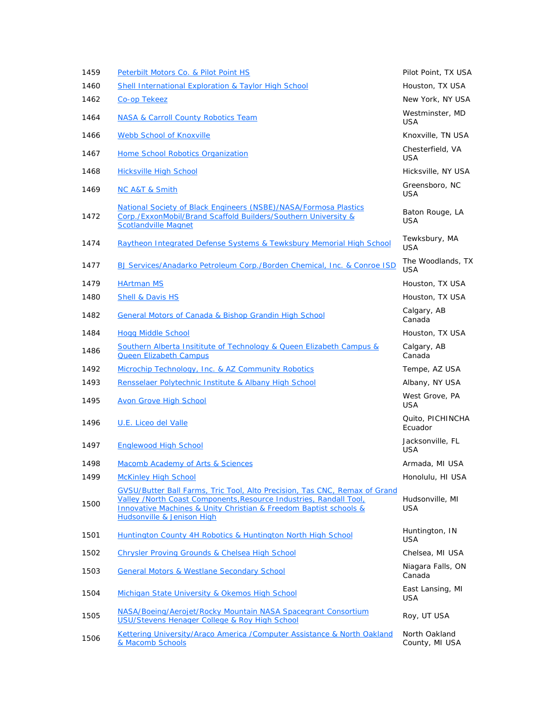| 1459 | Peterbilt Motors Co. & Pilot Point HS                                                                                                                                                                                                                          | Pilot Point, TX USA             |
|------|----------------------------------------------------------------------------------------------------------------------------------------------------------------------------------------------------------------------------------------------------------------|---------------------------------|
| 1460 | Shell International Exploration & Taylor High School                                                                                                                                                                                                           | Houston, TX USA                 |
| 1462 | Co-op Tekeez                                                                                                                                                                                                                                                   | New York, NY USA                |
| 1464 | <b>NASA &amp; Carroll County Robotics Team</b>                                                                                                                                                                                                                 | Westminster, MD<br><b>USA</b>   |
| 1466 | <b>Webb School of Knoxville</b>                                                                                                                                                                                                                                | Knoxville, TN USA               |
| 1467 | Home School Robotics Organization                                                                                                                                                                                                                              | Chesterfield, VA<br><b>USA</b>  |
| 1468 | <b>Hicksville High School</b>                                                                                                                                                                                                                                  | Hicksville, NY USA              |
| 1469 | <b>NC A&amp;T &amp; Smith</b>                                                                                                                                                                                                                                  | Greensboro, NC<br>USA           |
| 1472 | National Society of Black Engineers (NSBE)/NASA/Formosa Plastics<br>Corp./ExxonMobil/Brand Scaffold Builders/Southern University &<br><b>Scotlandville Magnet</b>                                                                                              | Baton Rouge, LA<br><b>USA</b>   |
| 1474 | Raytheon Integrated Defense Systems & Tewksbury Memorial High School                                                                                                                                                                                           | Tewksbury, MA<br><b>USA</b>     |
| 1477 | BJ Services/Anadarko Petroleum Corp./Borden Chemical, Inc. & Conroe ISD                                                                                                                                                                                        | The Woodlands, TX<br><b>USA</b> |
| 1479 | <b>HArtman MS</b>                                                                                                                                                                                                                                              | Houston, TX USA                 |
| 1480 | <b>Shell &amp; Davis HS</b>                                                                                                                                                                                                                                    | Houston, TX USA                 |
| 1482 | <b>General Motors of Canada &amp; Bishop Grandin High School</b>                                                                                                                                                                                               | Calgary, AB<br>Canada           |
| 1484 | <b>Hogg Middle School</b>                                                                                                                                                                                                                                      | Houston, TX USA                 |
| 1486 | Southern Alberta Insititute of Technology & Queen Elizabeth Campus &<br><b>Queen Elizabeth Campus</b>                                                                                                                                                          | Calgary, AB<br>Canada           |
| 1492 | Microchip Technology, Inc. & AZ Community Robotics                                                                                                                                                                                                             | Tempe, AZ USA                   |
| 1493 | Rensselaer Polytechnic Institute & Albany High School                                                                                                                                                                                                          | Albany, NY USA                  |
| 1495 | <b>Avon Grove High School</b>                                                                                                                                                                                                                                  | West Grove, PA<br><b>USA</b>    |
| 1496 | U.E. Liceo del Valle                                                                                                                                                                                                                                           | Quito, PICHINCHA<br>Ecuador     |
| 1497 | <b>Englewood High School</b>                                                                                                                                                                                                                                   | Jacksonville, FL<br><b>USA</b>  |
| 1498 | Macomb Academy of Arts & Sciences                                                                                                                                                                                                                              | Armada, MI USA                  |
| 1499 | <b>McKinley High School</b>                                                                                                                                                                                                                                    | Honolulu, HI USA                |
| 1500 | GVSU/Butter Ball Farms, Tric Tool, Alto Precision, Tas CNC, Remax of Grand<br>Valley /North Coast Components. Resource Industries, Randall Tool.<br>Innovative Machines & Unity Christian & Freedom Baptist schools &<br><b>Hudsonville &amp; Jenison High</b> | Hudsonville, MI<br>USA          |
| 1501 | Huntington County 4H Robotics & Huntington North High School                                                                                                                                                                                                   | Huntington, IN<br><b>USA</b>    |
| 1502 | <b>Chrysler Proving Grounds &amp; Chelsea High School</b>                                                                                                                                                                                                      | Chelsea, MI USA                 |
| 1503 | <b>General Motors &amp; Westlane Secondary School</b>                                                                                                                                                                                                          | Niagara Falls, ON<br>Canada     |
| 1504 | Michigan State University & Okemos High School                                                                                                                                                                                                                 | East Lansing, MI<br><b>USA</b>  |
| 1505 | NASA/Boeing/Aerojet/Rocky Mountain NASA Spacegrant Consortium<br>USU/Stevens Henager College & Roy High School                                                                                                                                                 | Roy, UT USA                     |
| 1506 | Kettering University/Araco America /Computer Assistance & North Oakland<br>& Macomb Schools                                                                                                                                                                    | North Oakland<br>County, MI USA |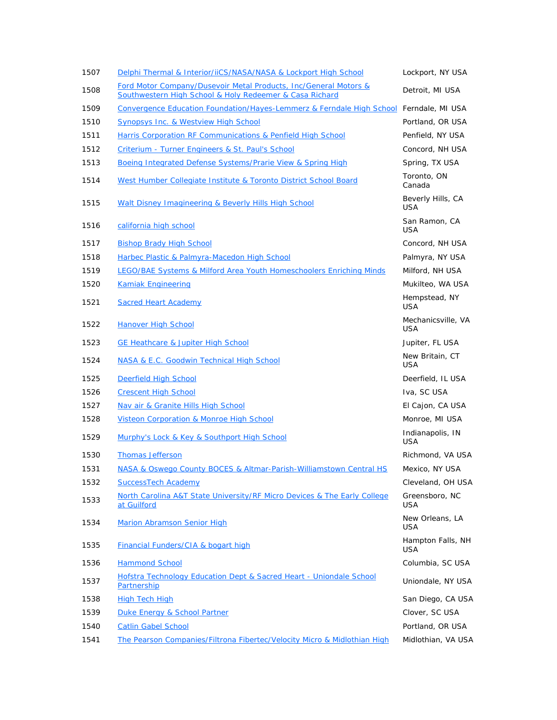| 1507 | Delphi Thermal & Interior/iiCS/NASA/NASA & Lockport High School                                                             | Lockport, NY USA                 |
|------|-----------------------------------------------------------------------------------------------------------------------------|----------------------------------|
| 1508 | Ford Motor Company/Dusevoir Metal Products, Inc/General Motors &<br>Southwestern High School & Holy Redeemer & Casa Richard | Detroit, MI USA                  |
| 1509 | Convergence Education Foundation/Hayes-Lemmerz & Ferndale High School Ferndale, MI USA                                      |                                  |
| 1510 | <b>Synopsys Inc. &amp; Westview High School</b>                                                                             | Portland, OR USA                 |
| 1511 | Harris Corporation RF Communications & Penfield High School                                                                 | Penfield, NY USA                 |
| 1512 | Criterium - Turner Engineers & St. Paul's School                                                                            | Concord, NH USA                  |
| 1513 | Boeing Integrated Defense Systems/Prarie View & Spring High                                                                 | Spring, TX USA                   |
| 1514 | West Humber Collegiate Institute & Toronto District School Board                                                            | Toronto, ON<br>Canada            |
| 1515 | Walt Disney Imagineering & Beverly Hills High School                                                                        | Beverly Hills, CA<br>USA         |
| 1516 | california high school                                                                                                      | San Ramon, CA<br><b>USA</b>      |
| 1517 | <b>Bishop Brady High School</b>                                                                                             | Concord, NH USA                  |
| 1518 | Harbec Plastic & Palmyra-Macedon High School                                                                                | Palmyra, NY USA                  |
| 1519 | <b>LEGO/BAE Systems &amp; Milford Area Youth Homeschoolers Enriching Minds</b>                                              | Milford, NH USA                  |
| 1520 | <b>Kamiak Engineering</b>                                                                                                   | Mukilteo, WA USA                 |
| 1521 | <b>Sacred Heart Academy</b>                                                                                                 | Hempstead, NY<br><b>USA</b>      |
| 1522 | <b>Hanover High School</b>                                                                                                  | Mechanicsville, VA<br><b>USA</b> |
| 1523 | <b>GE Heathcare &amp; Jupiter High School</b>                                                                               | Jupiter, FL USA                  |
| 1524 | NASA & E.C. Goodwin Technical High School                                                                                   | New Britain, CT<br><b>USA</b>    |
| 1525 | Deerfield High School                                                                                                       | Deerfield, IL USA                |
| 1526 | <b>Crescent High School</b>                                                                                                 | Iva, SC USA                      |
| 1527 | Nav air & Granite Hills High School                                                                                         | El Cajon, CA USA                 |
| 1528 | <b>Visteon Corporation &amp; Monroe High School</b>                                                                         | Monroe, MI USA                   |
| 1529 | Murphy's Lock & Key & Southport High School                                                                                 | Indianapolis, IN<br><b>USA</b>   |
| 1530 | <b>Thomas Jefferson</b>                                                                                                     | Richmond, VA USA                 |
| 1531 | NASA & Oswego County BOCES & Altmar-Parish-Williamstown Central HS                                                          | Mexico, NY USA                   |
| 1532 | <b>SuccessTech Academy</b>                                                                                                  | Cleveland, OH USA                |
| 1533 | North Carolina A&T State University/RF Micro Devices & The Early College<br>at Guilford                                     | Greensboro, NC<br>USA            |
| 1534 | <b>Marion Abramson Senior High</b>                                                                                          | New Orleans, LA<br><b>USA</b>    |
| 1535 | <b>Financial Funders/CIA &amp; bogart high</b>                                                                              | Hampton Falls, NH<br><b>USA</b>  |
| 1536 | <b>Hammond School</b>                                                                                                       | Columbia, SC USA                 |
| 1537 | Hofstra Technology Education Dept & Sacred Heart - Uniondale School<br>Partnership                                          | Uniondale, NY USA                |
| 1538 | <b>High Tech High</b>                                                                                                       | San Diego, CA USA                |
| 1539 | Duke Energy & School Partner                                                                                                | Clover, SC USA                   |
| 1540 | <b>Catlin Gabel School</b>                                                                                                  | Portland, OR USA                 |
| 1541 | The Pearson Companies/Filtrona Fibertec/Velocity Micro & Midlothian High                                                    | Midlothian, VA USA               |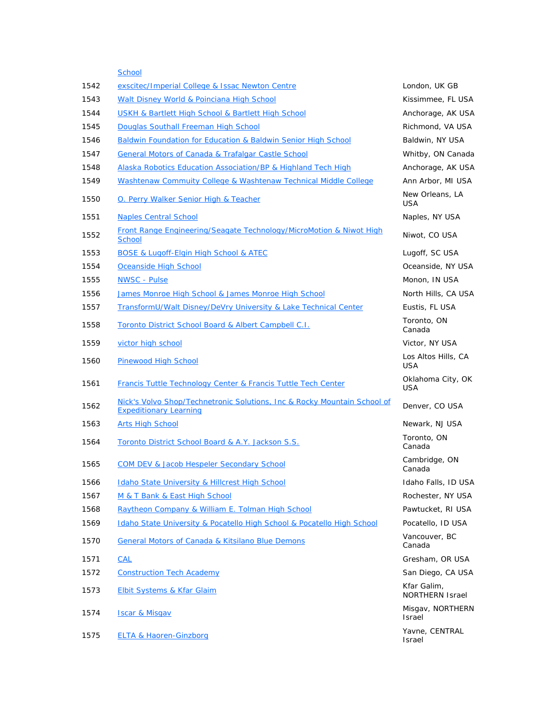**School** 1542 exscitec/Imperial College & Issac Newton Centre **Landon** London, UK GB 1543 Walt Disney World & Poinciana High School New York Nissimmee, FL USA 1544 USKH & Bartlett High School & Bartlett High School Anchorage, AK USA 1545 Douglas Southall Freeman High School **Richmond, VA USA** Richmond, VA USA 1546 Baldwin Foundation for Education & Baldwin Senior High School Baldwin, NY USA 1547 General Motors of Canada & Trafalgar Castle School Whitby, ON Canada 1548 Alaska Robotics Education Association/BP & Highland Tech High Anchorage, AK USA 1549 Washtenaw Commuity College & Washtenaw Technical Middle College Ann Arbor, MI USA 1550 O. Perry Walker Senior High & Teacher New Orleans, LA USA 1551 Naples Central School Naples, NY USA 1552 Front Range Engineering/Seagate Technology/MicroMotion & Niwot High Niwot, CO USA<br>School 1553 BOSE & Lugoff-Elgin High School & ATEC Lugot Lugoff, SC USA 1554 Oceanside High School Oceanside, NY USA 1555 NWSC - Pulse Monometric Monometric Monometric Monometric Monometric Monometric Monometric Monometric Mono 1556 James Monroe High School & James Monroe High School North Hills, CA USA 1557 TransformU/Walt Disney/DeVry University & Lake Technical Center Eustis, FL USA 1558 Toronto District School Board & Albert Campbell C.I. Toronto, ON Canada 1559 victor high school Victor, NY USA 1560 Pinewood High School **Pinewood High School** Cos Altos Hills, CA USA 1561 Francis Tuttle Technology Center & Francis Tuttle Tech Center Center Customa City, OK USA 1562 Nick's Volvo Shop/Technetronic Solutions, Inc & Rocky Mountain School of NICK S VOIVO Shop/Technetronic Solutions, The & Rocky Mountain School OI Denver, CO USA<br>Expeditionary Learning 1563 Arts High School Newark, NJ USA 1564 Toronto District School Board & A.Y. Jackson S.S. Toronto, ON Toronto, ON Canada 1565 COM DEV & Jacob Hespeler Secondary School Cambridge, ON Cambridge, ON Canada 1566 Idaho State University & Hillcrest High School **Internal Idaho Falls**, ID USA 1567 M & T Bank & East High School Rochester, NY USA 1568 Raytheon Company & William E. Tolman High School **Pawtucket, RI USA** 1569 Idaho State University & Pocatello High School & Pocatello High School Pocatello, ID USA 1570 General Motors of Canada & Kitsilano Blue Demons Vancouver, BC Canada 1571 CAL Green Call Green Capital Control of the Control Control Control Control Control Control Control Control Control Control Control Control Control Control Control Control Control Control Control Control Control Contr 1572 Construction Tech Academy Construction Tech Academy San Diego, CA USA 1573 Elbit Systems & Kfar Glaim Kfar Galim, Kfar Galim, Kfar Galim, Kfar Galim, Kfar Galim, Kfar Galim, Kfar Galim, Kfar Galim, Kfar Galim, Kfar Galim, Kfar Galim, Kfar Galim, Kfar Galim, Kfar Galim, Kfar Galim, Kfar Galim NORTHERN Israel 1574 Iscar & Misgav Misgav, NORTHERN Misgav, NORTHERN Israel 1575 ELTA & Haoren-Ginzborg Yavne, CENTRAL

Israel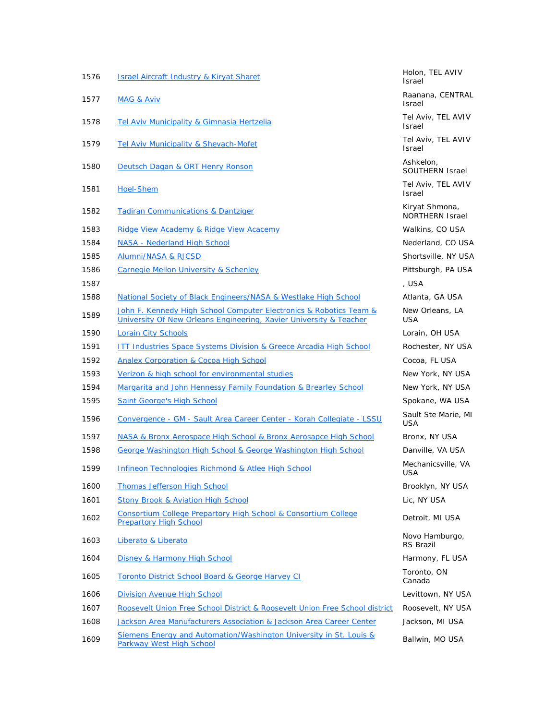| <b>Israel Aircraft Industry &amp; Kiryat Sharet</b>                                                                                      | Holon, TEL AVIV<br><b>Israel</b>         |
|------------------------------------------------------------------------------------------------------------------------------------------|------------------------------------------|
| <b>MAG &amp; Aviv</b>                                                                                                                    | Raanana, CENTRAL<br><b>Israel</b>        |
| <b>Tel Aviv Municipality &amp; Gimnasia Hertzelia</b>                                                                                    | Tel Aviv, TEL AVIV<br><b>Israel</b>      |
| Tel Aviv Municipality & Shevach-Mofet                                                                                                    | Tel Aviv, TEL AVIV<br><b>Israel</b>      |
| Deutsch Dagan & ORT Henry Ronson                                                                                                         | Ashkelon,<br><b>SOUTHERN Israel</b>      |
| <b>Hoel-Shem</b>                                                                                                                         | Tel Aviv, TEL AVIV<br>Israel             |
| <b>Tadiran Communications &amp; Dantziger</b>                                                                                            | Kiryat Shmona,<br><b>NORTHERN Israel</b> |
| Ridge View Academy & Ridge View Acacemy                                                                                                  | Walkins, CO USA                          |
| NASA - Nederland High School                                                                                                             | Nederland, CO USA                        |
| Alumni/NASA & RJCSD                                                                                                                      | Shortsville, NY USA                      |
| <b>Carnegie Mellon University &amp; Schenley</b>                                                                                         | Pittsburgh, PA USA                       |
|                                                                                                                                          | , USA                                    |
| National Society of Black Engineers/NASA & Westlake High School                                                                          | Atlanta, GA USA                          |
| John F. Kennedy High School Computer Electronics & Robotics Team &<br>University Of New Orleans Engineering, Xavier University & Teacher | New Orleans, LA<br><b>USA</b>            |
| <b>Lorain City Schools</b>                                                                                                               | Lorain, OH USA                           |
| <b>ITT Industries Space Systems Division &amp; Greece Arcadia High School</b>                                                            | Rochester, NY USA                        |
| <b>Analex Corporation &amp; Cocoa High School</b>                                                                                        | Cocoa, FL USA                            |
| Verizon & high school for environmental studies                                                                                          | New York, NY USA                         |
| Margarita and John Hennessy Family Foundation & Brearley School                                                                          | New York, NY USA                         |
| <b>Saint George's High School</b>                                                                                                        | Spokane, WA USA                          |
| Convergence - GM - Sault Area Career Center - Korah Collegiate - LSSU                                                                    | Sault Ste Marie, MI<br><b>USA</b>        |
| NASA & Bronx Aerospace High School & Bronx Aerosapce High School                                                                         | Bronx, NY USA                            |
| George Washington High School & George Washington High School                                                                            | Danville, VA USA                         |
| <b>Infineon Technologies Richmond &amp; Atlee High School</b>                                                                            | Mechanicsville, VA<br>USA                |
| <b>Thomas Jefferson High School</b>                                                                                                      | Brooklyn, NY USA                         |
| <b>Stony Brook &amp; Aviation High School</b>                                                                                            | Lic, NY USA                              |
| Consortium College Prepartory High School & Consortium College<br><b>Prepartory High School</b>                                          | Detroit, MI USA                          |
| Liberato & Liberato                                                                                                                      | Novo Hamburgo,<br><b>RS Brazil</b>       |
| <b>Disney &amp; Harmony High School</b>                                                                                                  | Harmony, FL USA                          |
| <b>Toronto District School Board &amp; George Harvey CI</b>                                                                              | Toronto, ON<br>Canada                    |
| Division Avenue High School                                                                                                              | Levittown, NY USA                        |
| Roosevelt Union Free School District & Roosevelt Union Free School district                                                              | Roosevelt, NY USA                        |
| Jackson Area Manufacturers Association & Jackson Area Career Center                                                                      | Jackson, MI USA                          |
| Siemens Energy and Automation/Washington University in St. Louis &<br><b>Parkway West High School</b>                                    | Ballwin, MO USA                          |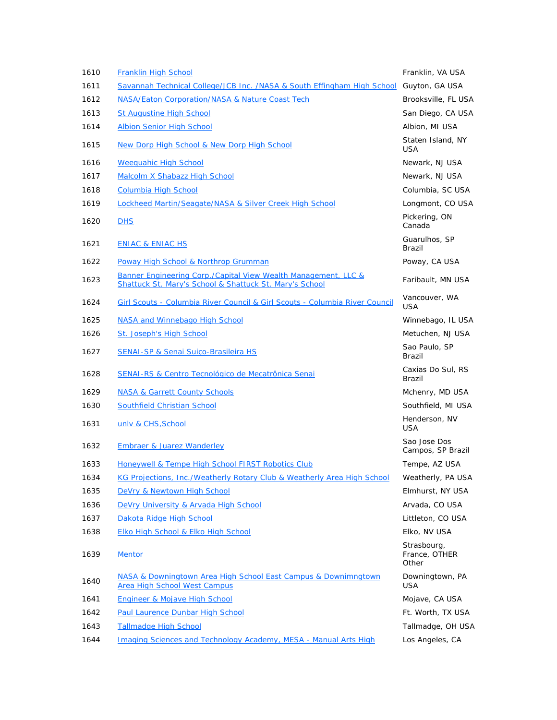| 1610 | Franklin High School                                                                                                      | Franklin, VA USA                      |
|------|---------------------------------------------------------------------------------------------------------------------------|---------------------------------------|
| 1611 | Savannah Technical College/JCB Inc. /NASA & South Effingham High School                                                   | Guyton, GA USA                        |
| 1612 | <b>NASA/Eaton Corporation/NASA &amp; Nature Coast Tech</b>                                                                | Brooksville, FL USA                   |
| 1613 | <b>St Augustine High School</b>                                                                                           | San Diego, CA USA                     |
| 1614 | <b>Albion Senior High School</b>                                                                                          | Albion, MI USA                        |
| 1615 | New Dorp High School & New Dorp High School                                                                               | Staten Island, NY<br><b>USA</b>       |
| 1616 | <b>Weequahic High School</b>                                                                                              | Newark, NJ USA                        |
| 1617 | Malcolm X Shabazz High School                                                                                             | Newark, NJ USA                        |
| 1618 | <b>Columbia High School</b>                                                                                               | Columbia, SC USA                      |
| 1619 | Lockheed Martin/Seagate/NASA & Silver Creek High School                                                                   | Longmont, CO USA                      |
| 1620 | <b>DHS</b>                                                                                                                | Pickering, ON<br>Canada               |
| 1621 | <b>ENIAC &amp; ENIAC HS</b>                                                                                               | Guarulhos, SP<br>Brazil               |
| 1622 | <b>Poway High School &amp; Northrop Grumman</b>                                                                           | Poway, CA USA                         |
| 1623 | Banner Engineering Corp./Capital View Wealth Management, LLC &<br>Shattuck St. Mary's School & Shattuck St. Mary's School | Faribault, MN USA                     |
| 1624 | Girl Scouts - Columbia River Council & Girl Scouts - Columbia River Council                                               | Vancouver, WA<br><b>USA</b>           |
| 1625 | NASA and Winnebago High School                                                                                            | Winnebago, IL USA                     |
| 1626 | St. Joseph's High School                                                                                                  | Metuchen, NJ USA                      |
| 1627 | <b>SENAI-SP &amp; Senai Suiço-Brasileira HS</b>                                                                           | Sao Paulo, SP<br>Brazil               |
| 1628 | SENAI-RS & Centro Tecnológico de Mecatrônica Senai                                                                        | Caxias Do Sul, RS<br>Brazil           |
| 1629 | <b>NASA &amp; Garrett County Schools</b>                                                                                  | Mchenry, MD USA                       |
| 1630 | Southfield Christian School                                                                                               | Southfield, MI USA                    |
| 1631 | unly & CHS, School                                                                                                        | Henderson, NV<br><b>USA</b>           |
| 1632 | Embraer & Juarez Wanderley                                                                                                | Sao Jose Dos<br>Campos, SP Brazil     |
| 1633 | Honeywell & Tempe High School FIRST Robotics Club                                                                         | Tempe, AZ USA                         |
| 1634 | KG Projections, Inc./Weatherly Rotary Club & Weatherly Area High School                                                   | Weatherly, PA USA                     |
| 1635 | DeVry & Newtown High School                                                                                               | Elmhurst, NY USA                      |
| 1636 | DeVry University & Arvada High School                                                                                     | Arvada, CO USA                        |
| 1637 | Dakota Ridge High School                                                                                                  | Littleton, CO USA                     |
| 1638 | Elko High School & Elko High School                                                                                       | Elko, NV USA                          |
| 1639 | <b>Mentor</b>                                                                                                             | Strasbourg,<br>France, OTHER<br>Other |
| 1640 | NASA & Downingtown Area High School East Campus & Downimngtown<br>Area High School West Campus                            | Downingtown, PA<br>USA                |
| 1641 | <b>Engineer &amp; Mojave High School</b>                                                                                  | Mojave, CA USA                        |
| 1642 | <b>Paul Laurence Dunbar High School</b>                                                                                   | Ft. Worth, TX USA                     |
| 1643 | <b>Tallmadge High School</b>                                                                                              | Tallmadge, OH USA                     |
| 1644 | <b>Imaging Sciences and Technology Academy, MESA - Manual Arts High</b>                                                   | Los Angeles, CA                       |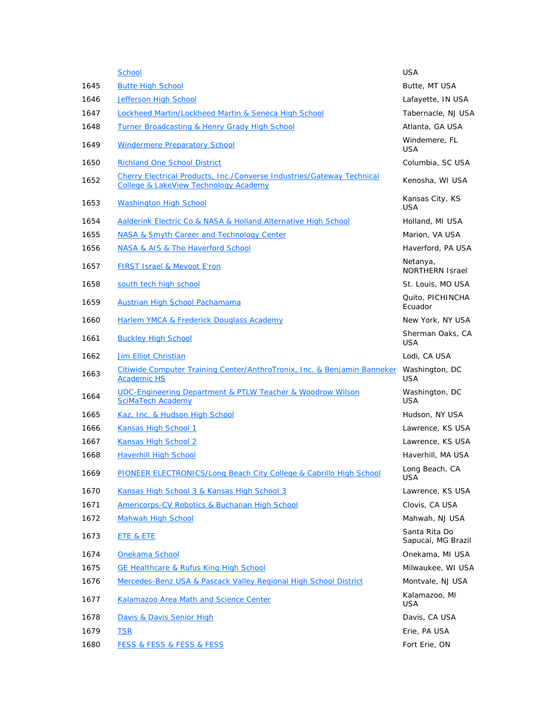|      | <b>School</b>                                                                                                                     | <b>USA</b>                          |
|------|-----------------------------------------------------------------------------------------------------------------------------------|-------------------------------------|
| 1645 | <b>Butte High School</b>                                                                                                          | Butte, MT USA                       |
| 1646 | <b>Jefferson High School</b>                                                                                                      | Lafayette, IN USA                   |
| 1647 | Lockheed Martin/Lockheed Martin & Seneca High School                                                                              | Tabernacle, NJ USA                  |
| 1648 | <b>Turner Broadcasting &amp; Henry Grady High School</b>                                                                          | Atlanta, GA USA                     |
| 1649 | <b>Windermere Preparatory School</b>                                                                                              | Windemere, FL<br><b>USA</b>         |
| 1650 | <b>Richland One School District</b>                                                                                               | Columbia, SC USA                    |
| 1652 | <b>Cherry Electrical Products, Inc./Converse Industries/Gateway Technical</b><br><b>College &amp; LakeView Technology Academy</b> | Kenosha, WI USA                     |
| 1653 | <b>Washington High School</b>                                                                                                     | Kansas City, KS<br>USA              |
| 1654 | Aalderink Electric Co & NASA & Holland Alternative High School                                                                    | Holland, MI USA                     |
| 1655 | NASA & Smyth Career and Technology Center                                                                                         | Marion, VA USA                      |
| 1656 | NASA & AIS & The Haverford School                                                                                                 | Haverford, PA USA                   |
| 1657 | <b>FIRST Israel &amp; Mevoot E'ron</b>                                                                                            | Netanya,<br><b>NORTHERN Israel</b>  |
| 1658 | south tech high school                                                                                                            | St. Louis, MO USA                   |
| 1659 | Austrian High School Pachamama                                                                                                    | Quito, PICHINCHA<br>Ecuador         |
| 1660 | <b>Harlem YMCA &amp; Frederick Douglass Academy</b>                                                                               | New York, NY USA                    |
| 1661 | <b>Buckley High School</b>                                                                                                        | Sherman Oaks, CA<br><b>USA</b>      |
| 1662 | <b>Jim Elliot Christian</b>                                                                                                       | Lodi, CA USA                        |
| 1663 | Citiwide Computer Training Center/AnthroTronix, Inc. & Benjamin Banneker<br><b>Academic HS</b>                                    | Washington, DC<br>USA               |
| 1664 | UDC-Engineering Department & PTLW Teacher & Woodrow Wilson<br><b>SciMaTech Academy</b>                                            | Washington, DC<br><b>USA</b>        |
| 1665 | Kaz, Inc. & Hudson High School                                                                                                    | Hudson, NY USA                      |
| 1666 | Kansas High School 1                                                                                                              | Lawrence, KS USA                    |
| 1667 | Kansas High School 2                                                                                                              | Lawrence, KS USA                    |
| 1668 | <b>Haverhill High School</b>                                                                                                      | Haverhill, MA USA                   |
| 1669 | PIONEER ELECTRONICS/Long Beach City College & Cabrillo High School                                                                | Long Beach, CA<br><b>USA</b>        |
| 1670 | Kansas High School 3 & Kansas High School 3                                                                                       | Lawrence, KS USA                    |
| 1671 | Americorps-CV Robotics & Buchanan High School                                                                                     | Clovis, CA USA                      |
| 1672 | <b>Mahwah High School</b>                                                                                                         | Mahwah, NJ USA                      |
| 1673 | <b>ETE &amp; ETE</b>                                                                                                              | Santa Rita Do<br>Sapucaí, MG Brazil |
| 1674 | Onekama School                                                                                                                    | Onekama, MI USA                     |
| 1675 | <b>GE Healthcare &amp; Rufus King High School</b>                                                                                 | Milwaukee, WI USA                   |
| 1676 | Mercedes-Benz USA & Pascack Valley Regional High School District                                                                  | Montvale, NJ USA                    |
| 1677 | Kalamazoo Area Math and Science Center                                                                                            | Kalamazoo, MI<br>USA                |
| 1678 | Davis & Davis Senior High                                                                                                         | Davis, CA USA                       |
| 1679 | <b>TSR</b>                                                                                                                        | Erie, PA USA                        |
| 1680 | <b>FESS &amp; FESS &amp; FESS &amp; FESS</b>                                                                                      | Fort Erie, ON                       |